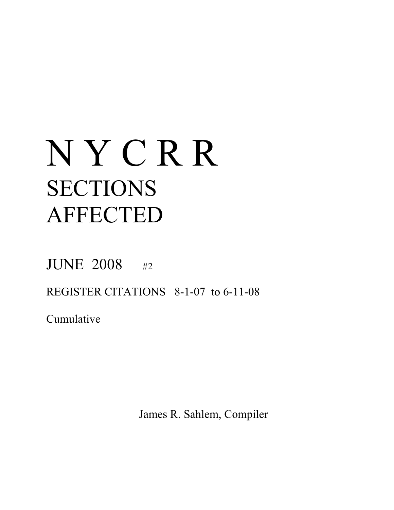# N Y C R R SECTIONS AFFECTED

JUNE 2008 #2

REGISTER CITATIONS 8-1-07 to 6-11-08

Cumulative

James R. Sahlem, Compiler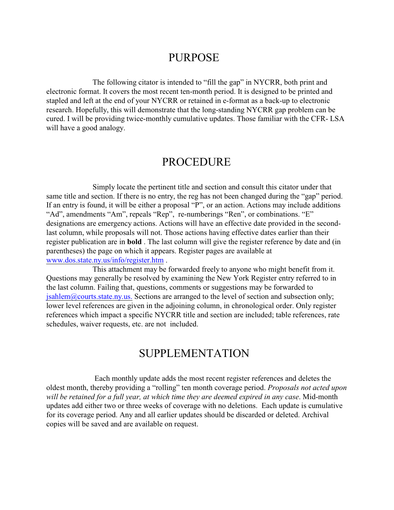#### PURPOSE

The following citator is intended to "fill the gap" in NYCRR, both print and electronic format. It covers the most recent ten-month period. It is designed to be printed and stapled and left at the end of your NYCRR or retained in e-format as a back-up to electronic research. Hopefully, this will demonstrate that the long-standing NYCRR gap problem can be cured. I will be providing twice-monthly cumulative updates. Those familiar with the CFR- LSA will have a good analogy.

#### PROCEDURE

Simply locate the pertinent title and section and consult this citator under that same title and section. If there is no entry, the reg has not been changed during the "gap" period. If an entry is found, it will be either a proposal "P", or an action. Actions may include additions "Ad", amendments "Am", repeals "Rep", re-numberings "Ren", or combinations. "E" designations are emergency actions. Actions will have an effective date provided in the secondlast column, while proposals will not. Those actions having effective dates earlier than their register publication are in **bold** . The last column will give the register reference by date and (in parentheses) the page on which it appears. Register pages are available at [www.dos.state.ny.us/info/register.htm](http://www.dos.state.ny.us/info/register.htm) .

This attachment may be forwarded freely to anyone who might benefit from it. Questions may generally be resolved by examining the New York Register entry referred to in the last column. Failing that, questions, comments or suggestions may be forwarded to [jsahlem@courts.state.ny.us.](mailto:jsahlem@courts.state.ny.us.) Sections are arranged to the level of section and subsection only; lower level references are given in the adjoining column, in chronological order. Only register references which impact a specific NYCRR title and section are included; table references, rate schedules, waiver requests, etc. are not included.

#### SUPPLEMENTATION

 Each monthly update adds the most recent register references and deletes the oldest month, thereby providing a "rolling" ten month coverage period. *Proposals not acted upon will be retained for a full year, at which time they are deemed expired in any case*. Mid-month updates add either two or three weeks of coverage with no deletions. Each update is cumulative for its coverage period. Any and all earlier updates should be discarded or deleted. Archival copies will be saved and are available on request.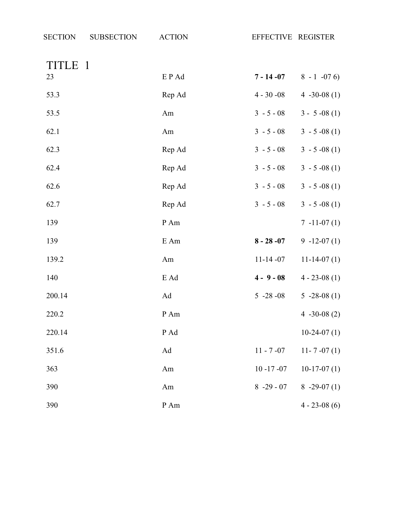| <b>SECTION</b> | <b>SUBSECTION</b> | <b>ACTION</b>   | EFFECTIVE REGISTER |                  |
|----------------|-------------------|-----------------|--------------------|------------------|
| TITLE 1        |                   |                 |                    |                  |
| 23             |                   | EP Ad           | $7 - 14 - 07$      | $8 - 1 -076$     |
| 53.3           |                   | Rep Ad          | $4 - 30 - 08$      | 4 $-30-08(1)$    |
| 53.5           |                   | Am              | $3 - 5 - 08$       | $3 - 5 -08(1)$   |
| 62.1           |                   | Am              | $3 - 5 - 08$       | $3 - 5 -08(1)$   |
| 62.3           |                   | Rep Ad          | $3 - 5 - 08$       | $3 - 5 -08(1)$   |
| 62.4           |                   | Rep Ad          | $3 - 5 - 08$       | $3 - 5 -08(1)$   |
| 62.6           |                   | Rep Ad          | $3 - 5 - 08$       | $3 - 5 -08(1)$   |
| 62.7           |                   | Rep Ad          | $3 - 5 - 08$       | $3 - 5 -08(1)$   |
| 139            |                   | $\,P\!$ Am $\,$ |                    | $7 - 11 - 07(1)$ |
| 139            |                   | $\rm E$ Am      | $8 - 28 - 07$      | $9 - 12 - 07(1)$ |
| 139.2          |                   | Am              | $11-14-07$         | $11-14-07(1)$    |
| 140            |                   | E Ad            | $4 - 9 - 08$       | $4 - 23 - 08(1)$ |
| 200.14         |                   | Ad              | $5 - 28 - 08$      | $5 -28 -08(1)$   |
| 220.2          |                   | $\,P\!$ Am $\,$ |                    | 4 $-30-08(2)$    |
| 220.14         |                   | P Ad            |                    | $10-24-07(1)$    |
| 351.6          |                   | Ad              | $11 - 7 - 07$      | $11 - 7 - 07(1)$ |
| 363            |                   | Am              | $10 - 17 - 07$     | $10-17-07(1)$    |
| 390            |                   | Am              | $8 - 29 - 07$      | $8 - 29 - 07(1)$ |
| 390            |                   | $P$ Am          |                    | $4 - 23 - 08(6)$ |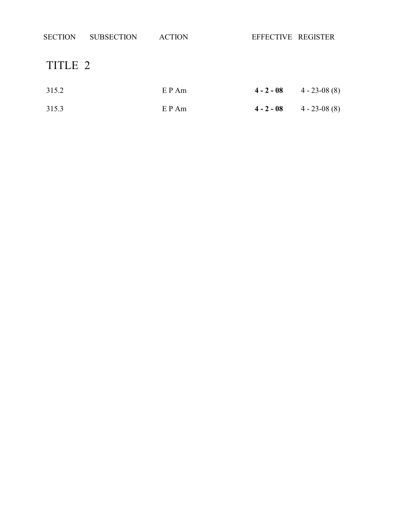| <b>SECTION</b> | <b>SUBSECTION</b> | <b>ACTION</b> | EFFECTIVE REGISTER |                  |
|----------------|-------------------|---------------|--------------------|------------------|
| TITLE 2        |                   |               |                    |                  |
| 315.2          |                   | $E$ P Am      | $4 - 2 - 08$       | $4 - 23 - 08(8)$ |
| 315.3          |                   | $E$ P Am      | $4 - 2 - 08$       | $4 - 23 - 08(8)$ |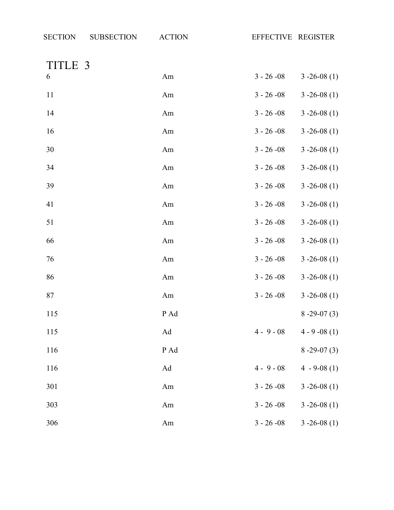TITLE 3

| 6   | Am                  | $3 - 26 - 08$ | $3 - 26 - 08(1)$  |
|-----|---------------------|---------------|-------------------|
| 11  | Am                  | $3 - 26 - 08$ | $3 - 26 - 08(1)$  |
| 14  | Am                  | $3 - 26 - 08$ | $3 - 26 - 08(1)$  |
| 16  | Am                  | $3 - 26 - 08$ | $3 - 26 - 08$ (1) |
| 30  | Am                  | $3 - 26 - 08$ | $3 - 26 - 08(1)$  |
| 34  | Am                  | $3 - 26 - 08$ | $3 - 26 - 08$ (1) |
| 39  | Am                  | $3 - 26 - 08$ | $3 - 26 - 08$ (1) |
| 41  | Am                  | $3 - 26 - 08$ | $3 - 26 - 08(1)$  |
| 51  | Am                  | $3 - 26 - 08$ | $3 - 26 - 08(1)$  |
| 66  | Am                  | $3 - 26 - 08$ | $3 - 26 - 08(1)$  |
| 76  | Am                  | $3 - 26 - 08$ | $3 - 26 - 08$ (1) |
| 86  | Am                  | $3 - 26 - 08$ | $3 - 26 - 08(1)$  |
| 87  | Am                  | $3 - 26 - 08$ | $3 - 26 - 08(1)$  |
| 115 | P Ad                |               | $8 - 29 - 07(3)$  |
| 115 | $\operatorname{Ad}$ | $4 - 9 - 08$  | $4 - 9 - 08(1)$   |
| 116 | P Ad                |               | $8 - 29 - 07(3)$  |
| 116 | Ad                  | $4 - 9 - 08$  | $4 - 9 - 08(1)$   |
| 301 | Am                  | $3 - 26 - 08$ | $3 - 26 - 08(1)$  |
| 303 | Am                  | $3 - 26 - 08$ | $3 - 26 - 08(1)$  |
| 306 | Am                  | $3 - 26 - 08$ | $3 - 26 - 08$ (1) |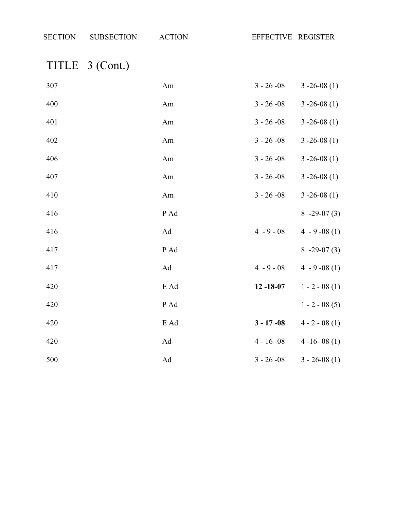## TITLE 3 (Cont.)

| 307 | Am   | $3 - 26 - 08$  | $3 - 26 - 08(1)$ |
|-----|------|----------------|------------------|
| 400 | Am   | $3 - 26 - 08$  | $3 - 26 - 08(1)$ |
| 401 | Am   | $3 - 26 - 08$  | $3 - 26 - 08(1)$ |
| 402 | Am   | $3 - 26 - 08$  | $3 - 26 - 08(1)$ |
| 406 | Am   | $3 - 26 - 08$  | $3 - 26 - 08(1)$ |
| 407 | Am   | $3 - 26 - 08$  | $3 - 26 - 08(1)$ |
| 410 | Am   | $3 - 26 - 08$  | $3 - 26 - 08(1)$ |
| 416 | P Ad |                | $8 - 29 - 07(3)$ |
| 416 | Ad   | $4 - 9 - 08$   | $4 - 9 - 08(1)$  |
| 417 | P Ad |                | $8 - 29 - 07(3)$ |
| 417 | Ad   | $4 - 9 - 08$   | $4 - 9 - 08(1)$  |
| 420 | E Ad | $12 - 18 - 07$ | $1 - 2 - 08(1)$  |
| 420 | P Ad |                | $1 - 2 - 08(5)$  |
| 420 | E Ad | $3 - 17 - 08$  | $4 - 2 - 08(1)$  |
| 420 | Ad   | $4 - 16 - 08$  | $4 - 16 - 08(1)$ |
| 500 | Ad   | $3 - 26 - 08$  | $3 - 26 - 08(1)$ |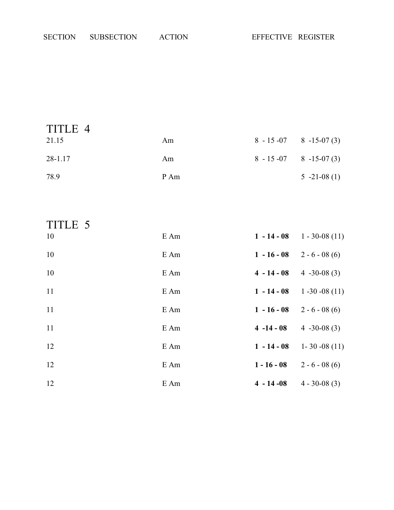| TITLE 4 |      |                                 |                |
|---------|------|---------------------------------|----------------|
| 21.15   | Am   | $8 - 15 - 07$ $8 - 15 - 07$ (3) |                |
| 28-1.17 | Am   | $8 - 15 - 07$ $8 - 15 - 07$ (3) |                |
| 78.9    | P Am |                                 | $5 -21 -08(1)$ |

| TITLE 5 |      |               |                   |
|---------|------|---------------|-------------------|
| 10      | E Am | $1 - 14 - 08$ | $1 - 30 - 08(11)$ |
| 10      | E Am | $1 - 16 - 08$ | $2 - 6 - 08(6)$   |
| 10      | E Am | $4 - 14 - 08$ | $4 - 30 - 08(3)$  |
| 11      | E Am | $1 - 14 - 08$ | $1 - 30 - 08(11)$ |
| 11      | E Am | $1 - 16 - 08$ | $2 - 6 - 08(6)$   |
| 11      | E Am | $4 - 14 - 08$ | $4 - 30 - 08(3)$  |
| 12      | E Am | $1 - 14 - 08$ | $1 - 30 - 08(11)$ |
| 12      | E Am | $1 - 16 - 08$ | $2 - 6 - 08(6)$   |
| 12      | E Am | $4 - 14 - 08$ | $4 - 30 - 08(3)$  |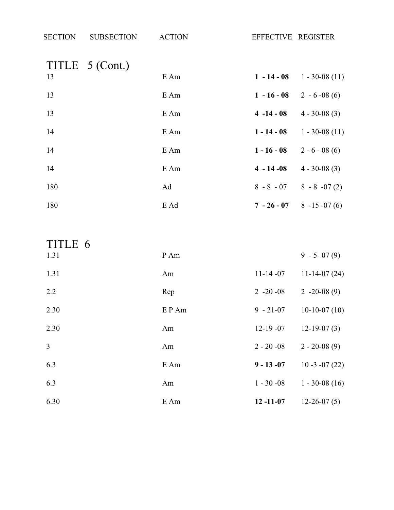| <b>SECTION</b> | <b>SUBSECTION</b> | <b>ACTION</b> | EFFECTIVE REGISTER |                   |
|----------------|-------------------|---------------|--------------------|-------------------|
| 13             | TITLE 5 (Cont.)   | E Am          | $1 - 14 - 08$      | $1 - 30 - 08(11)$ |
| 13             |                   | E Am          | $1 - 16 - 08$      | $2 - 6 - 08(6)$   |
| 13             |                   | E Am          | $4 - 14 - 08$      | $4 - 30 - 08(3)$  |
| 14             |                   | E Am          | $1 - 14 - 08$      | $1 - 30 - 08(11)$ |
| 14             |                   | E Am          | $1 - 16 - 08$      | $2 - 6 - 08(6)$   |
| 14             |                   | E Am          | $4 - 14 - 08$      | $4 - 30 - 08(3)$  |
| 180            |                   | Ad            | $8 - 8 - 07$       | $8 - 8 - 07(2)$   |
| 180            |                   | E Ad          | $7 - 26 - 07$      | $8 - 15 - 07(6)$  |

| TITLE 6        |       |                |                   |
|----------------|-------|----------------|-------------------|
| 1.31           | P Am  |                | $9 - 5 - 07(9)$   |
| 1.31           | Am    | $11 - 14 - 07$ | $11-14-07(24)$    |
| 2.2            | Rep   | $2 -20 -08$    | $2 -20 -08(9)$    |
| 2.30           | EP Am | $9 - 21 - 07$  | $10-10-07(10)$    |
| 2.30           | Am    | $12-19-07$     | $12-19-07(3)$     |
| $\overline{3}$ | Am    | $2 - 20 -08$   | $2 - 20 - 08(9)$  |
| 6.3            | E Am  | $9 - 13 - 07$  | $10 - 3 - 07(22)$ |
| 6.3            | Am    | $1 - 30 - 08$  | $1 - 30 - 08(16)$ |
| 6.30           | E Am  | $12 - 11 - 07$ | $12-26-07(5)$     |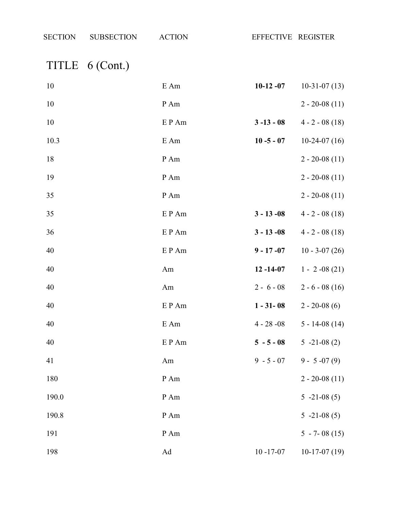| <b>SECTION</b> | <b>SUBSECTION</b> | <b>ACTION</b> | EFFECTIVE REGISTER |                    |
|----------------|-------------------|---------------|--------------------|--------------------|
|                | TITLE 6 (Cont.)   |               |                    |                    |
| 10             |                   | E Am          | $10-12-07$         | $10-31-07(13)$     |
| 10             |                   | P Am          |                    | $2 - 20 - 08(11)$  |
| 10             |                   | EP Am         | $3 - 13 - 08$      | $4 - 2 - 08(18)$   |
| 10.3           |                   | E Am          | $10 - 5 - 07$      | $10-24-07(16)$     |
| 18             |                   | P Am          |                    | $2 - 20 - 08(11)$  |
| 19             |                   | P Am          |                    | $2 - 20 - 08(11)$  |
| 35             |                   | P Am          |                    | $2 - 20 - 08(11)$  |
| 35             |                   | E P Am        | $3 - 13 - 08$      | $4 - 2 - 08(18)$   |
| 36             |                   | EP Am         | $3 - 13 - 08$      | $4 - 2 - 08(18)$   |
| 40             |                   | EP Am         | $9 - 17 - 07$      | $10 - 3 - 07(26)$  |
| 40             |                   | Am            | $12 - 14 - 07$     | $1 - 2 -08(21)$    |
| 40             |                   | Am            | $2 - 6 - 08$       | $2 - 6 - 08(16)$   |
| 40             |                   | EP Am         | $1 - 31 - 08$      | $2 - 20 - 08(6)$   |
| 40             |                   | E Am          | $4 - 28 - 08$      | $5 - 14 - 08$ (14) |
| 40             |                   | EP Am         | $5 - 5 - 08$       | $5 -21 -08(2)$     |

| 41    | Am   | $9 - 5 - 07$   | $9 - 5 - 07(9)$   |
|-------|------|----------------|-------------------|
| 180   | P Am |                | $2 - 20 - 08(11)$ |
| 190.0 | P Am |                | $5 -21 -08(5)$    |
| 190.8 | P Am |                | $5 -21 -08(5)$    |
| 191   | P Am |                | $5 - 7 - 08(15)$  |
| 198   | Ad   | $10 - 17 - 07$ | $10-17-07(19)$    |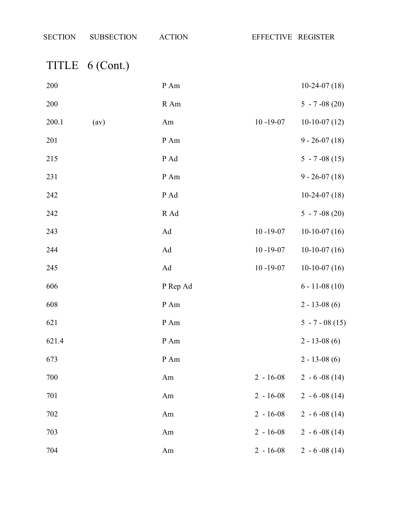# TITLE 6 (Cont.)

| 200   |      | $\,P\,Am$ |                | $10-24-07(18)$    |
|-------|------|-----------|----------------|-------------------|
| 200   |      | R Am      |                | $5 - 7 -08(20)$   |
| 200.1 | (av) | Am        | $10 - 19 - 07$ | $10-10-07(12)$    |
| 201   |      | P Am      |                | $9 - 26 - 07(18)$ |
| 215   |      | P Ad      |                | $5 - 7 -08(15)$   |
| 231   |      | P Am      |                | $9 - 26 - 07(18)$ |
| 242   |      | P Ad      |                | $10-24-07(18)$    |
| 242   |      | R Ad      |                | $5 - 7 -08(20)$   |
| 243   |      | Ad        | $10 - 19 - 07$ | $10-10-07(16)$    |
| 244   |      | Ad        | $10 - 19 - 07$ | $10-10-07(16)$    |
| 245   |      | Ad        | $10 - 19 - 07$ | $10-10-07(16)$    |
| 606   |      | P Rep Ad  |                | $6 - 11 - 08(10)$ |
| 608   |      | P Am      |                | $2 - 13 - 08(6)$  |
| 621   |      | $P$ Am    |                | $5 - 7 - 08(15)$  |
| 621.4 |      | P Am      |                | $2 - 13 - 08(6)$  |
| 673   |      | P Am      |                | $2 - 13 - 08(6)$  |
| 700   |      | Am        | $2 - 16 - 08$  | $2 - 6 - 08(14)$  |
| 701   |      | Am        | $2 - 16 - 08$  | $2 - 6 - 08(14)$  |
| 702   |      | Am        | $2 - 16 - 08$  | $2 - 6 - 08(14)$  |
| 703   |      | Am        | $2 - 16 - 08$  | $2 - 6 - 08(14)$  |
| 704   |      | Am        | $2 - 16 - 08$  | $2 - 6 - 08(14)$  |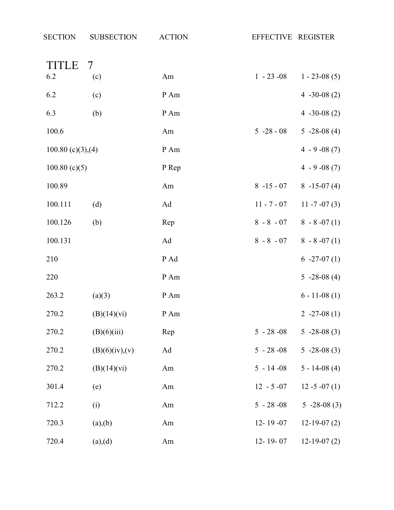| TITLE               | 7              |       |                |                               |
|---------------------|----------------|-------|----------------|-------------------------------|
| 6.2                 | (c)            | Am    | $1 - 23 - 08$  | $1 - 23 - 08(5)$              |
| 6.2                 | (c)            | P Am  |                | 4 $-30-08(2)$                 |
| 6.3                 | (b)            | P Am  |                | 4 $-30-08(2)$                 |
| 100.6               |                | Am    | $5 - 28 - 08$  | $5 - 28 - 08(4)$              |
| $100.80$ (c)(3),(4) |                | P Am  |                | $4 - 9 - 08(7)$               |
| 100.80(c)(5)        |                | P Rep |                | $4 - 9 -08(7)$                |
| 100.89              |                | Am    | $8 - 15 - 07$  | $8 - 15 - 07(4)$              |
| 100.111             | (d)            | Ad    | $11 - 7 - 07$  | $11 - 7 - 07(3)$              |
| 100.126             | (b)            | Rep   |                | $8 - 8 - 07$ $8 - 8 - 07$ (1) |
| 100.131             |                | Ad    | $8 - 8 - 07$   | $8 - 8 - 07(1)$               |
| 210                 |                | P Ad  |                | $6 -27 -07(1)$                |
| 220                 |                | P Am  |                | $5 -28 -08(4)$                |
| 263.2               | (a)(3)         | P Am  |                | $6 - 11 - 08(1)$              |
| 270.2               | (B)(14)(vi)    | P Am  |                | $2 -27 -08(1)$                |
| 270.2               | (B)(6)(iii)    | Rep   | $5 - 28 - 08$  | $5 - 28 - 08(3)$              |
| 270.2               | (B)(6)(iv),(v) | Ad    | $5 - 28 - 08$  | $5 -28 -08(3)$                |
| 270.2               | (B)(14)(vi)    | Am    | $5 - 14 - 08$  | $5 - 14 - 08$ (4)             |
| 301.4               | (e)            | Am    | $12 - 5 - 07$  | $12 - 5 - 07(1)$              |
| 712.2               | (i)            | Am    | $5 - 28 - 08$  | $5 -28 -08(3)$                |
| 720.3               | (a),(b)        | Am    | $12 - 19 - 07$ | $12-19-07(2)$                 |
| 720.4               | (a),(d)        | Am    | $12 - 19 - 07$ | $12-19-07(2)$                 |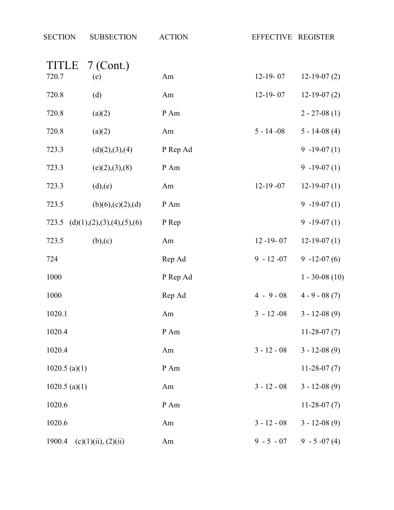| <b>SECTION</b>  | <b>SUBSECTION</b>               | <b>ACTION</b> | EFFECTIVE REGISTER |                   |
|-----------------|---------------------------------|---------------|--------------------|-------------------|
| <b>TITLE</b>    | $7$ (Cont.)                     |               |                    |                   |
| 720.7           | (e)                             | Am            | $12-19-07$         | $12-19-07(2)$     |
| 720.8           | (d)                             | Am            | $12-19-07$         | $12-19-07(2)$     |
| 720.8           | (a)(2)                          | P Am          |                    | $2 - 27 - 08(1)$  |
| 720.8           | (a)(2)                          | Am            | $5 - 14 - 08$      | $5 - 14 - 08$ (4) |
| 723.3           | (d)(2),(3),(4)                  | P Rep Ad      |                    | $9 - 19 - 07(1)$  |
| 723.3           | (e)(2),(3),(8)                  | P Am          |                    | $9 - 19 - 07(1)$  |
| 723.3           | (d),(e)                         | Am            | $12-19-07$         | $12-19-07(1)$     |
| 723.5           | (b)(6),(c)(2),(d)               | P Am          |                    | $9 - 19 - 07(1)$  |
| 723.5           | (d)(1), (2), (3), (4), (5), (6) | P Rep         |                    | $9 - 19 - 07(1)$  |
| 723.5           | (b),(c)                         | Am            | $12 - 19 - 07$     | $12-19-07(1)$     |
| 724             |                                 | Rep Ad        | $9 - 12 - 07$      | $9 - 12 - 07(6)$  |
| 1000            |                                 | P Rep Ad      |                    | $1 - 30 - 08(10)$ |
| 1000            |                                 | Rep Ad        | $4 - 9 - 08$       | $4 - 9 - 08(7)$   |
| 1020.1          |                                 | Am            | $3 - 12 - 08$      | $3 - 12 - 08(9)$  |
| 1020.4          |                                 | P Am          |                    | $11-28-07(7)$     |
| 1020.4          |                                 | Am            | $3 - 12 - 08$      | $3 - 12 - 08(9)$  |
| $1020.5$ (a)(1) |                                 | P Am          |                    | $11-28-07(7)$     |
| $1020.5$ (a)(1) |                                 | Am            | $3 - 12 - 08$      | $3 - 12 - 08(9)$  |
| 1020.6          |                                 | P Am          |                    | $11-28-07(7)$     |
| 1020.6          |                                 | Am            | $3 - 12 - 08$      | $3 - 12 - 08(9)$  |
| 1900.4          | (c)(1)(ii), (2)(ii)             | Am            | $9 - 5 - 07$       | $9 - 5 -07(4)$    |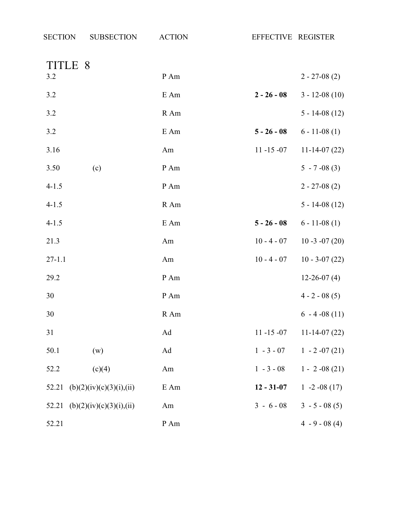| <b>SECTION</b> | <b>SUBSECTION</b>        | <b>ACTION</b> | EFFECTIVE REGISTER |                    |
|----------------|--------------------------|---------------|--------------------|--------------------|
| TITLE 8        |                          |               |                    |                    |
| 3.2            |                          | P Am          |                    | $2 - 27 - 08(2)$   |
| 3.2            |                          | E Am          | $2 - 26 - 08$      | $3 - 12 - 08(10)$  |
| 3.2            |                          | R Am          |                    | $5 - 14 - 08$ (12) |
| 3.2            |                          | E Am          | $5 - 26 - 08$      | $6 - 11 - 08(1)$   |
| 3.16           |                          | Am            | $11 - 15 - 07$     | $11-14-07(22)$     |
| 3.50           | (c)                      | P Am          |                    | $5 - 7 -08(3)$     |
| $4 - 1.5$      |                          | P Am          |                    | $2 - 27 - 08(2)$   |
| $4 - 1.5$      |                          | R Am          |                    | $5 - 14 - 08(12)$  |
| $4 - 1.5$      |                          | E Am          | $5 - 26 - 08$      | $6 - 11 - 08(1)$   |
| 21.3           |                          | Am            | $10 - 4 - 07$      | $10 - 3 - 07(20)$  |
| $27 - 1.1$     |                          | Am            | $10 - 4 - 07$      | $10 - 3 - 07(22)$  |
| 29.2           |                          | P Am          |                    | $12 - 26 - 07(4)$  |
| 30             |                          | P Am          |                    | $4 - 2 - 08(5)$    |
| 30             |                          | R Am          |                    | $6 - 4 - 08(11)$   |
| 31             |                          | Ad            | $11 - 15 - 07$     | $11-14-07(22)$     |
| 50.1           | (w)                      | Ad            | $1 - 3 - 07$       | $1 - 2 -07(21)$    |
| 52.2           | (c)(4)                   | Am            | $1 - 3 - 08$       | $1 - 2 -08(21)$    |
| 52.21          | (b)(2)(iv)(c)(3)(i),(ii) | E Am          | $12 - 31 - 07$     | 1 -2 -08 (17)      |
| 52.21          | (b)(2)(iv)(c)(3)(i),(ii) | Am            | $3 - 6 - 08$       | $3 - 5 - 08(5)$    |
| 52.21          |                          | P Am          |                    | $4 - 9 - 08(4)$    |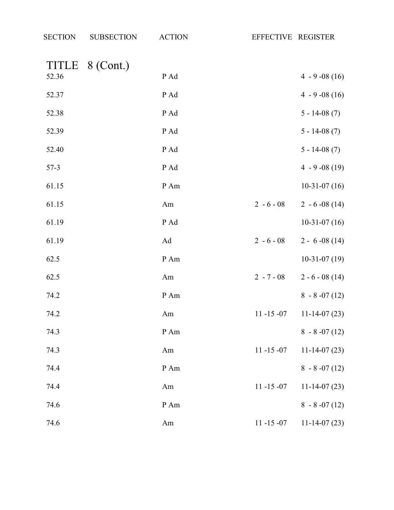| <b>SECTION</b> | <b>SUBSECTION</b> | <b>ACTION</b> | EFFECTIVE REGISTER |                  |
|----------------|-------------------|---------------|--------------------|------------------|
|                | TITLE 8 (Cont.)   |               |                    |                  |
| 52.36          |                   | P Ad          |                    | $4 - 9 -08(16)$  |
| 52.37          |                   | P Ad          |                    | $4 - 9 -08(16)$  |
| 52.38          |                   | P Ad          |                    | $5 - 14 - 08(7)$ |
| 52.39          |                   | P Ad          |                    | $5 - 14 - 08(7)$ |
| 52.40          |                   | P Ad          |                    | $5 - 14 - 08(7)$ |
| $57-3$         |                   | P Ad          |                    | $4 - 9 -08(19)$  |
| 61.15          |                   | P Am          |                    | $10-31-07(16)$   |
| 61.15          |                   | Am            | $2 - 6 - 08$       | $2 - 6 - 08(14)$ |
| 61.19          |                   | P Ad          |                    | $10-31-07(16)$   |
| 61.19          |                   | Ad            | $2 - 6 - 08$       | $2 - 6 - 08(14)$ |
| 62.5           |                   | P Am          |                    | $10-31-07(19)$   |
| 62.5           |                   | Am            | $2 - 7 - 08$       | $2 - 6 - 08(14)$ |
| 74.2           |                   | P Am          |                    | $8 - 8 - 07(12)$ |
| 74.2           |                   | Am            | $11 - 15 - 07$     | $11-14-07(23)$   |
| 74.3           |                   | P Am          |                    | $8 - 8 - 07(12)$ |
| 74.3           |                   | Am            | $11 - 15 - 07$     | $11-14-07(23)$   |
| 74.4           |                   | P Am          |                    | $8 - 8 - 07(12)$ |
| 74.4           |                   | Am            | $11 - 15 - 07$     | $11-14-07(23)$   |
| 74.6           |                   | P Am          |                    | $8 - 8 - 07(12)$ |
| 74.6           |                   | Am            | $11 - 15 - 07$     | $11-14-07(23)$   |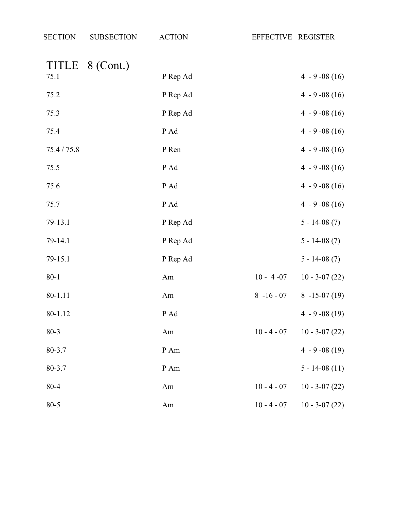| <b>SECTION</b> | <b>SUBSECTION</b> | <b>ACTION</b> | EFFECTIVE REGISTER |                   |
|----------------|-------------------|---------------|--------------------|-------------------|
| <b>TITLE</b>   | 8 (Cont.)         |               |                    |                   |
| 75.1           |                   | P Rep Ad      |                    | $4 - 9 -08(16)$   |
| 75.2           |                   | P Rep Ad      |                    | $4 - 9 - 08(16)$  |
| 75.3           |                   | P Rep Ad      |                    | $4 - 9 -08(16)$   |
| 75.4           |                   | P Ad          |                    | $4 - 9 - 08(16)$  |
| 75.4 / 75.8    |                   | P Ren         |                    | $4 - 9 - 08(16)$  |
| 75.5           |                   | P Ad          |                    | $4 - 9 -08(16)$   |
| 75.6           |                   | P Ad          |                    | $4 - 9 - 08(16)$  |
| 75.7           |                   | P Ad          |                    | $4 - 9 -08(16)$   |
| 79-13.1        |                   | P Rep Ad      |                    | $5 - 14 - 08(7)$  |
| 79-14.1        |                   | P Rep Ad      |                    | $5 - 14 - 08(7)$  |
| 79-15.1        |                   | P Rep Ad      |                    | $5 - 14 - 08(7)$  |
| $80 - 1$       |                   | Am            | $10 - 4 - 07$      | $10 - 3 - 07(22)$ |
| 80-1.11        |                   | Am            | $8 - 16 - 07$      | $8 - 15 - 07(19)$ |
| 80-1.12        |                   | P Ad          |                    | $4 - 9 - 08(19)$  |
| $80 - 3$       |                   | Am            | $10 - 4 - 07$      | $10 - 3 - 07(22)$ |
| 80-3.7         |                   | P Am          |                    | $4 - 9 -08(19)$   |
| 80-3.7         |                   | P Am          |                    | $5 - 14 - 08(11)$ |
| 80-4           |                   | Am            | $10 - 4 - 07$      | $10 - 3 - 07(22)$ |
| $80 - 5$       |                   | Am            | $10 - 4 - 07$      | $10 - 3 - 07(22)$ |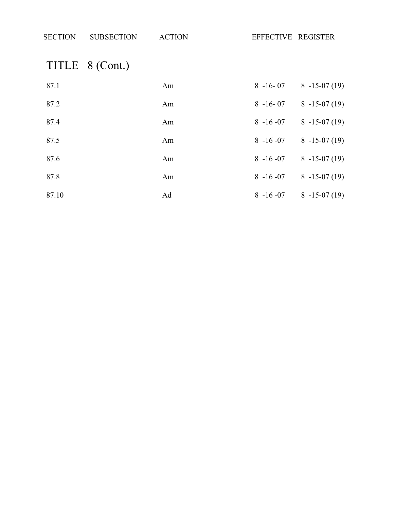| <b>SECTION</b> | <b>SUBSECTION</b> | <b>ACTION</b> | EFFECTIVE REGISTER |
|----------------|-------------------|---------------|--------------------|

# TITLE 8 (Cont.)

| 87.1  | Am | $8 - 16 - 07$ | $8 - 15 - 07(19)$ |
|-------|----|---------------|-------------------|
| 87.2  | Am | $8 - 16 - 07$ | $8 - 15 - 07(19)$ |
| 87.4  | Am | $8 - 16 - 07$ | $8 - 15 - 07(19)$ |
| 87.5  | Am | $8 - 16 - 07$ | $8 - 15 - 07(19)$ |
| 87.6  | Am | $8 - 16 - 07$ | $8 - 15 - 07(19)$ |
| 87.8  | Am | $8 - 16 - 07$ | $8 - 15 - 07(19)$ |
| 87.10 | Ad | $8 - 16 - 07$ | $8 - 15 - 07(19)$ |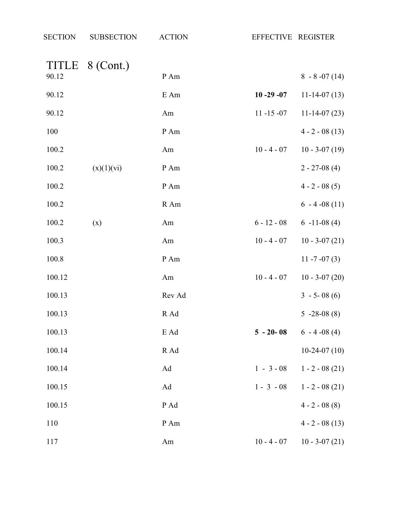| <b>SECTION</b>        | <b>SUBSECTION</b> | <b>ACTION</b> | EFFECTIVE REGISTER |                   |
|-----------------------|-------------------|---------------|--------------------|-------------------|
| <b>TITLE</b><br>90.12 | 8 (Cont.)         | P Am          |                    | $8 - 8 - 07(14)$  |
| 90.12                 |                   | E Am          | $10 - 29 - 07$     | $11-14-07(13)$    |
| 90.12                 |                   | Am            | $11 - 15 - 07$     | $11-14-07(23)$    |
| 100                   |                   | P Am          |                    | $4 - 2 - 08(13)$  |
| 100.2                 |                   | Am            | $10 - 4 - 07$      | $10 - 3 - 07(19)$ |
| 100.2                 | (x)(1)(vi)        | P Am          |                    | $2 - 27 - 08(4)$  |
| 100.2                 |                   | P Am          |                    | $4 - 2 - 08(5)$   |
| 100.2                 |                   | R Am          |                    | $6 - 4 - 08(11)$  |
| 100.2                 | (x)               | Am            | $6 - 12 - 08$      | $6 - 11 - 08(4)$  |
| 100.3                 |                   | Am            | $10 - 4 - 07$      | $10 - 3 - 07(21)$ |
| 100.8                 |                   | P Am          |                    | 11 $-7 - 07(3)$   |
| 100.12                |                   | Am            | $10 - 4 - 07$      | $10 - 3 - 07(20)$ |
| 100.13                |                   | Rev Ad        |                    | $3 - 5 - 08(6)$   |
| 100.13                |                   | R Ad          |                    | $5 -28 -08(8)$    |
| 100.13                |                   | E Ad          | $5 - 20 - 08$      | $6 - 4 - 08(4)$   |
| 100.14                |                   | R Ad          |                    | $10-24-07(10)$    |
| 100.14                |                   | Ad            | $1 - 3 - 08$       | $1 - 2 - 08(21)$  |
| 100.15                |                   | Ad            | $1 - 3 - 08$       | $1 - 2 - 08(21)$  |
| 100.15                |                   | P Ad          |                    | $4 - 2 - 08(8)$   |
| 110                   |                   | P Am          |                    | $4 - 2 - 08(13)$  |
| 117                   |                   | Am            | $10 - 4 - 07$      | $10 - 3 - 07(21)$ |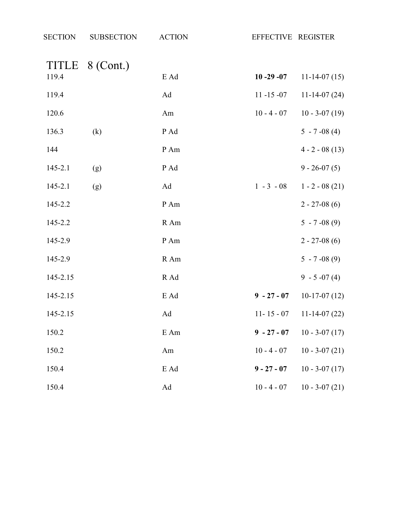| <b>SECTION</b> | <b>SUBSECTION</b> | <b>ACTION</b> | EFFECTIVE REGISTER |                    |
|----------------|-------------------|---------------|--------------------|--------------------|
| 119.4          | TITLE 8 (Cont.)   | E Ad          | $10 - 29 - 07$     | $11-14-07(15)$     |
|                |                   |               |                    |                    |
| 119.4          |                   | Ad            | $11 - 15 - 07$     | $11-14-07(24)$     |
| 120.6          |                   | Am            | $10 - 4 - 07$      | $10 - 3 - 07(19)$  |
| 136.3          | (k)               | P Ad          |                    | $5 - 7 -08(4)$     |
| 144            |                   | P Am          |                    | $4 - 2 - 08(13)$   |
| $145 - 2.1$    | (g)               | P Ad          |                    | $9 - 26 - 07(5)$   |
| 145-2.1        | (g)               | Ad            | $1 - 3 - 08$       | $1 - 2 - 08(21)$   |
| 145-2.2        |                   | P Am          |                    | $2 - 27 - 08(6)$   |
| 145-2.2        |                   | R Am          |                    | $5 - 7 -08(9)$     |
| 145-2.9        |                   | P Am          |                    | $2 - 27 - 08(6)$   |
| 145-2.9        |                   | R Am          |                    | $5 - 7 -08(9)$     |
| 145-2.15       |                   | R Ad          |                    | $9 - 5 -07(4)$     |
| 145-2.15       |                   | E Ad          | $9 - 27 - 07$      | $10-17-07(12)$     |
| 145-2.15       |                   | Ad            | $11 - 15 - 07$     | $11-14-07(22)$     |
| 150.2          |                   | E Am          | $9 - 27 - 07$      | $10 - 3 - 07(17)$  |
| 150.2          |                   | Am            | $10 - 4 - 07$      | $10 - 3 - 07(21)$  |
| 150.4          |                   | E Ad          | $9 - 27 - 07$      | $10 - 3 - 07$ (17) |
| 150.4          |                   | Ad            | $10 - 4 - 07$      | $10 - 3 - 07(21)$  |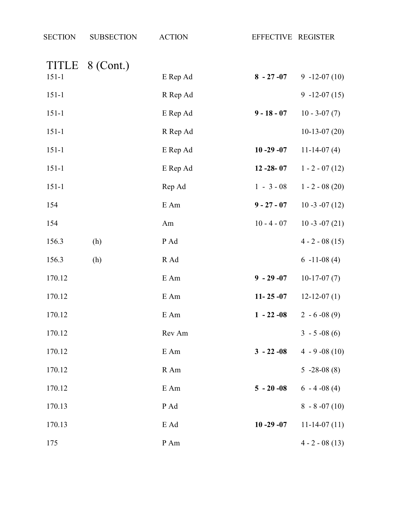| <b>SECTION</b>     | <b>SUBSECTION</b> | <b>ACTION</b> | EFFECTIVE REGISTER |                   |
|--------------------|-------------------|---------------|--------------------|-------------------|
| TITLE<br>$151 - 1$ | 8 (Cont.)         | E Rep Ad      | $8 - 27 - 07$      | $9 - 12 - 07(10)$ |
| $151 - 1$          |                   | R Rep Ad      |                    | $9 - 12 - 07(15)$ |
| $151 - 1$          |                   | E Rep Ad      | $9 - 18 - 07$      | $10 - 3 - 07(7)$  |
| $151 - 1$          |                   | R Rep Ad      |                    | $10-13-07(20)$    |
| $151 - 1$          |                   | E Rep Ad      | $10 - 29 - 07$     | $11-14-07(4)$     |
| $151 - 1$          |                   | E Rep Ad      | $12 - 28 - 07$     | $1 - 2 - 07(12)$  |
| $151 - 1$          |                   | Rep Ad        | $1 - 3 - 08$       | $1 - 2 - 08(20)$  |
| 154                |                   | $E$ Am        | $9 - 27 - 07$      | $10 - 3 - 07(12)$ |
| 154                |                   | Am            | $10 - 4 - 07$      | $10 - 3 - 07(21)$ |
| 156.3              | (h)               | P Ad          |                    | $4 - 2 - 08(15)$  |
| 156.3              | (h)               | R Ad          |                    | $6 - 11 - 08(4)$  |
| 170.12             |                   | $E$ Am        | $9 - 29 - 07$      | $10-17-07(7)$     |
| 170.12             |                   | E Am          | $11 - 25 - 07$     | $12 - 12 - 07(1)$ |
| 170.12             |                   | $E$ Am        | $1 - 22 - 08$      | $2 - 6 - 08(9)$   |
| 170.12             |                   | Rev Am        |                    | $3 - 5 -08(6)$    |
| 170.12             |                   | E Am          | $3 - 22 - 08$      | $4 - 9 -08(10)$   |
| 170.12             |                   | R Am          |                    | $5 -28 -08(8)$    |
| 170.12             |                   | E Am          | $5 - 20 - 08$      | $6 - 4 - 08(4)$   |
| 170.13             |                   | P Ad          |                    | $8 - 8 - 07(10)$  |
| 170.13             |                   | E Ad          | $10 - 29 - 07$     | $11-14-07(11)$    |
| 175                |                   | P Am          |                    | $4 - 2 - 08(13)$  |
|                    |                   |               |                    |                   |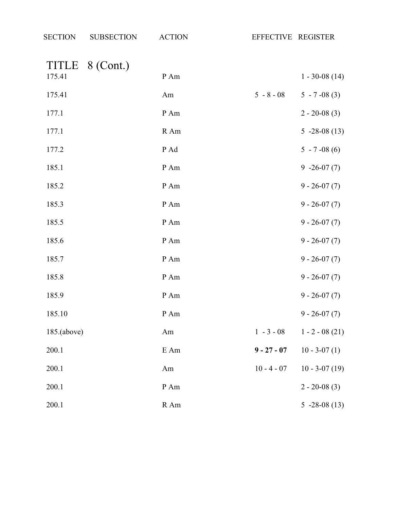| <b>SECTION</b>  | <b>SUBSECTION</b> | <b>ACTION</b> |               | EFFECTIVE REGISTER |
|-----------------|-------------------|---------------|---------------|--------------------|
| TITLE<br>175.41 | 8 (Cont.)         | P Am          |               | $1 - 30 - 08(14)$  |
| 175.41          |                   | Am            | $5 - 8 - 08$  | $5 - 7 -08(3)$     |
| 177.1           |                   | P Am          |               | $2 - 20 - 08(3)$   |
| 177.1           |                   | R Am          |               | $5 -28 -08(13)$    |
| 177.2           |                   | P Ad          |               | $5 - 7 -08(6)$     |
| 185.1           |                   | $\,P\,Am$     |               | $9 -26 -07(7)$     |
| 185.2           |                   | P Am          |               | $9 - 26 - 07(7)$   |
| 185.3           |                   | $\,P\,Am$     |               | $9 - 26 - 07(7)$   |
| 185.5           |                   | $\,P\,Am$     |               | $9 - 26 - 07(7)$   |
| 185.6           |                   | $\,P\,Am$     |               | $9 - 26 - 07(7)$   |
| 185.7           |                   | P Am          |               | $9 - 26 - 07(7)$   |
| 185.8           |                   | P Am          |               | $9 - 26 - 07(7)$   |
| 185.9           |                   | P Am          |               | $9 - 26 - 07(7)$   |
| 185.10          |                   | P Am          |               | $9 - 26 - 07(7)$   |
| $185$ .(above)  |                   | Am            | $1 - 3 - 08$  | $1 - 2 - 08(21)$   |
| 200.1           |                   | E Am          | $9 - 27 - 07$ | $10 - 3 - 07(1)$   |
| 200.1           |                   | Am            | $10 - 4 - 07$ | $10 - 3 - 07(19)$  |
| 200.1           |                   | P Am          |               | $2 - 20 - 08(3)$   |
| 200.1           |                   | $R$ Am        |               | $5 -28 -08(13)$    |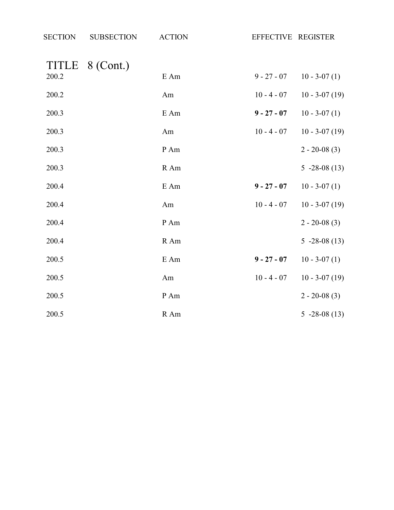| <b>SECTION</b> | <b>SUBSECTION</b> | <b>ACTION</b> | EFFECTIVE REGISTER |                   |
|----------------|-------------------|---------------|--------------------|-------------------|
| TITLE          | 8 (Cont.)         |               |                    |                   |
| 200.2          |                   | $\rm E$ Am    | $9 - 27 - 07$      | $10 - 3 - 07(1)$  |
| 200.2          |                   | Am            | $10 - 4 - 07$      | $10 - 3 - 07(19)$ |
| 200.3          |                   | $E$ Am        | $9 - 27 - 07$      | $10 - 3 - 07(1)$  |
| 200.3          |                   | Am            | $10 - 4 - 07$      | $10 - 3 - 07(19)$ |
| 200.3          |                   | P Am          |                    | $2 - 20 - 08(3)$  |
| 200.3          |                   | R Am          |                    | $5 -28 -08(13)$   |
| 200.4          |                   | E Am          | $9 - 27 - 07$      | $10 - 3 - 07(1)$  |
| 200.4          |                   | Am            | $10 - 4 - 07$      | $10 - 3 - 07(19)$ |
| 200.4          |                   | P Am          |                    | $2 - 20 - 08(3)$  |
| 200.4          |                   | R Am          |                    | $5 -28 -08(13)$   |
| 200.5          |                   | E Am          | $9 - 27 - 07$      | $10 - 3 - 07(1)$  |
| 200.5          |                   | Am            | $10 - 4 - 07$      | $10 - 3 - 07(19)$ |
| 200.5          |                   | P Am          |                    | $2 - 20 - 08(3)$  |
| 200.5          |                   | R Am          |                    | $5 -28 -08(13)$   |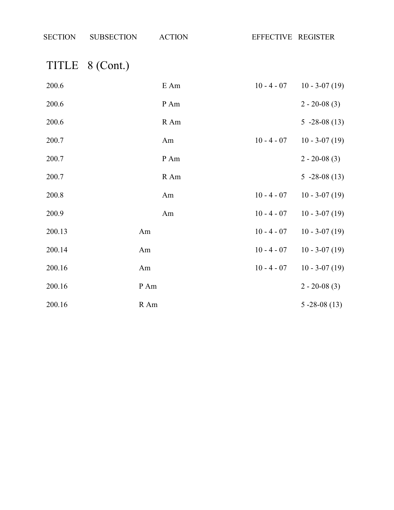| SECTION SUBSECTION ACTION | EFFECTIVE REGISTER |
|---------------------------|--------------------|
| TITLE 8 (Cont.)           |                    |

| 200.6  |      | E Am | $10 - 4 - 07$ | $10 - 3 - 07(19)$ |
|--------|------|------|---------------|-------------------|
| 200.6  |      | P Am |               | $2 - 20 - 08(3)$  |
| 200.6  |      | R Am |               | $5 - 28 - 08(13)$ |
| 200.7  |      | Am   | $10 - 4 - 07$ | $10 - 3 - 07(19)$ |
| 200.7  |      | P Am |               | $2 - 20 - 08(3)$  |
| 200.7  |      | R Am |               | $5 - 28 - 08(13)$ |
| 200.8  |      | Am   | $10 - 4 - 07$ | $10 - 3 - 07(19)$ |
| 200.9  |      | Am   | $10 - 4 - 07$ | $10 - 3 - 07(19)$ |
| 200.13 | Am   |      | $10 - 4 - 07$ | $10 - 3 - 07(19)$ |
| 200.14 | Am   |      | $10 - 4 - 07$ | $10 - 3 - 07(19)$ |
| 200.16 | Am   |      | $10 - 4 - 07$ | $10 - 3 - 07(19)$ |
| 200.16 | P Am |      |               | $2 - 20 - 08(3)$  |
| 200.16 | R Am |      |               | $5 - 28 - 08(13)$ |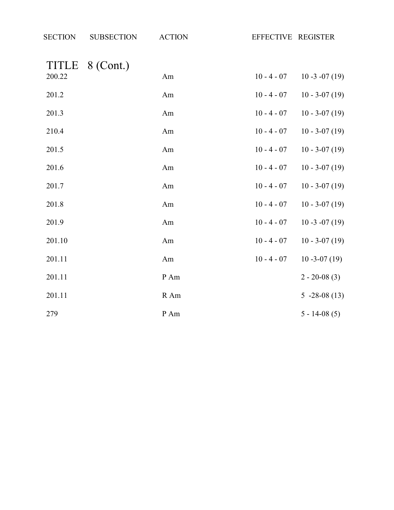| <b>SECTION</b> | <b>SUBSECTION</b> | <b>ACTION</b>   | EFFECTIVE REGISTER |                   |
|----------------|-------------------|-----------------|--------------------|-------------------|
| 200.22         | TITLE 8 (Cont.)   | Am              | $10 - 4 - 07$      | $10 - 3 - 07(19)$ |
| 201.2          |                   | Am              | $10 - 4 - 07$      | $10 - 3 - 07(19)$ |
| 201.3          |                   | Am              | $10 - 4 - 07$      | $10 - 3 - 07(19)$ |
| 210.4          |                   | Am              | $10 - 4 - 07$      | $10 - 3 - 07(19)$ |
| 201.5          |                   | Am              | $10 - 4 - 07$      | $10 - 3 - 07(19)$ |
| 201.6          |                   | Am              | $10 - 4 - 07$      | $10 - 3 - 07(19)$ |
| 201.7          |                   | Am              | $10 - 4 - 07$      | $10 - 3 - 07(19)$ |
| 201.8          |                   | Am              | $10 - 4 - 07$      | $10 - 3 - 07(19)$ |
| 201.9          |                   | Am              | $10 - 4 - 07$      | $10 - 3 - 07(19)$ |
| 201.10         |                   | Am              | $10 - 4 - 07$      | $10 - 3 - 07(19)$ |
| 201.11         |                   | Am              | $10 - 4 - 07$      | $10 - 3 - 07(19)$ |
| 201.11         |                   | $\,P\!$ Am $\,$ |                    | $2 - 20 - 08(3)$  |
| 201.11         |                   | R Am            |                    | $5 - 28 - 08(13)$ |
| 279            |                   | P Am            |                    | $5 - 14 - 08(5)$  |
|                |                   |                 |                    |                   |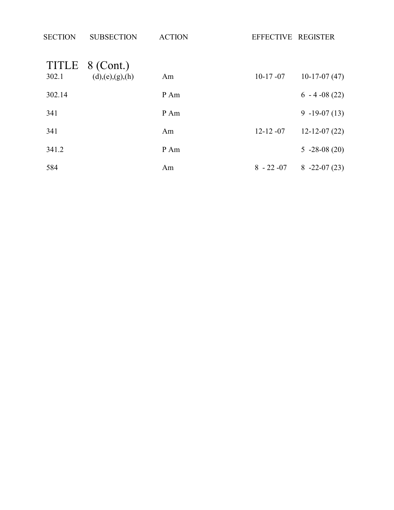| <b>SECTION</b> | <b>SUBSECTION</b>                  | <b>ACTION</b> | EFFECTIVE REGISTER |                    |
|----------------|------------------------------------|---------------|--------------------|--------------------|
| 302.1          | TITLE 8 (Cont.)<br>(d),(e),(g),(h) | Am            | $10-17 - 07$       | $10-17-07(47)$     |
| 302.14         |                                    | P Am          |                    | $6 - 4 - 08(22)$   |
| 341            |                                    | P Am          |                    | $9 - 19 - 07(13)$  |
| 341            |                                    | Am            | $12 - 12 - 07$     | $12 - 12 - 07(22)$ |
| 341.2          |                                    | P Am          |                    | $5 -28 -08(20)$    |
| 584            |                                    | Am            | $8 - 22 - 07$      | $8 - 22 - 07(23)$  |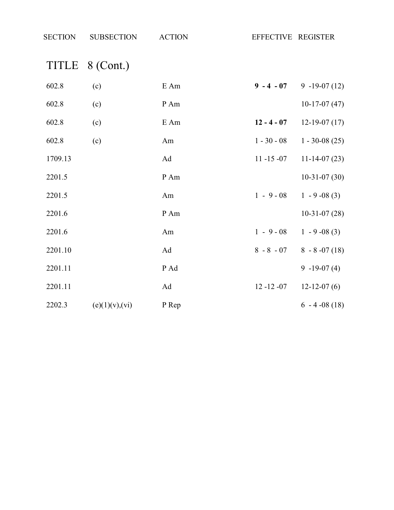| <b>SECTION</b> | <b>SUBSECTION</b> | <b>ACTION</b> | EFFECTIVE REGISTER |                   |
|----------------|-------------------|---------------|--------------------|-------------------|
|                | TITLE 8 (Cont.)   |               |                    |                   |
| 602.8          | (c)               | E Am          | $9 - 4 - 07$       | $9 - 19 - 07(12)$ |
| 602.8          | (c)               | P Am          |                    | $10-17-07(47)$    |
| 602.8          | (c)               | E Am          | $12 - 4 - 07$      | $12-19-07(17)$    |
| 602.8          | (c)               | Am            | $1 - 30 - 08$      | $1 - 30 - 08(25)$ |
| 1709.13        |                   | Ad            | $11 - 15 - 07$     | $11-14-07(23)$    |
| 2201.5         |                   | P Am          |                    | $10-31-07(30)$    |
| 2201.5         |                   | Am            | $1 - 9 - 08$       | $1 - 9 - 08(3)$   |
| 2201.6         |                   | P Am          |                    | $10-31-07(28)$    |
| 2201.6         |                   | Am            | $1 - 9 - 08$       | $1 - 9 - 08(3)$   |
| 2201.10        |                   | Ad            | $8 - 8 - 07$       | $8 - 8 - 07(18)$  |
| 2201.11        |                   | P Ad          |                    | $9 - 19 - 07(4)$  |
| 2201.11        |                   | Ad            | $12 - 12 - 07$     | $12-12-07(6)$     |
| 2202.3         | (e)(1)(v),(vi)    | P Rep         |                    | $6 - 4 - 08(18)$  |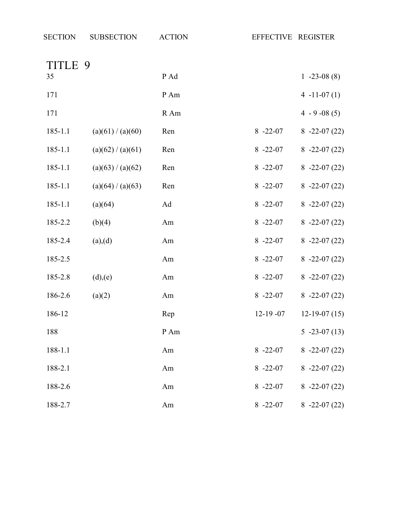| TITLE 9     |                   |      |               |                   |
|-------------|-------------------|------|---------------|-------------------|
| 35          |                   | P Ad |               | $1 - 23 - 08(8)$  |
| 171         |                   | P Am |               | $4 - 11 - 07(1)$  |
| 171         |                   | R Am |               | $4 - 9 - 08(5)$   |
| $185 - 1.1$ | (a)(61) / (a)(60) | Ren  | $8 - 22 - 07$ | $8 - 22 - 07(22)$ |
| 185-1.1     | (a)(62) / (a)(61) | Ren  | $8 - 22 - 07$ | $8 - 22 - 07(22)$ |
| 185-1.1     | (a)(63) / (a)(62) | Ren  | $8 - 22 - 07$ | $8 -22 -07(22)$   |
| 185-1.1     | (a)(64) / (a)(63) | Ren  | $8 - 22 - 07$ | $8 - 22 - 07(22)$ |
| 185-1.1     | (a)(64)           | Ad   | $8 - 22 - 07$ | $8 - 22 - 07(22)$ |
| 185-2.2     | (b)(4)            | Am   | $8 - 22 - 07$ | $8 - 22 - 07(22)$ |
| 185-2.4     | (a),(d)           | Am   | $8 - 22 - 07$ | $8 - 22 - 07(22)$ |
| 185-2.5     |                   | Am   | $8 - 22 - 07$ | $8 - 22 - 07(22)$ |
| 185-2.8     | (d),(e)           | Am   | $8 - 22 - 07$ | $8 - 22 - 07(22)$ |
| 186-2.6     | (a)(2)            | Am   | $8 - 22 - 07$ | $8 - 22 - 07(22)$ |
| 186-12      |                   | Rep  | $12-19-07$    | $12-19-07(15)$    |
| 188         |                   | P Am |               | $5 -23 -07(13)$   |
| 188-1.1     |                   | Am   | $8 - 22 - 07$ | $8 - 22 - 07(22)$ |
| 188-2.1     |                   | Am   | $8 - 22 - 07$ | $8 - 22 - 07(22)$ |
| 188-2.6     |                   | Am   | $8 - 22 - 07$ | $8 - 22 - 07(22)$ |
| 188-2.7     |                   | Am   | $8 - 22 - 07$ | $8 - 22 - 07(22)$ |

SECTION SUBSECTION ACTION EFFECTIVE REGISTER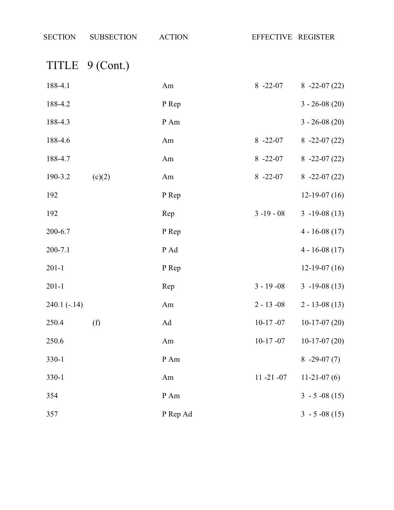TITLE 9 (Cont.)

| 188-4.1       |        | Am       | $8 - 22 - 07$  | $8 - 22 - 07(22)$ |
|---------------|--------|----------|----------------|-------------------|
| 188-4.2       |        | P Rep    |                | $3 - 26 - 08(20)$ |
| 188-4.3       |        | P Am     |                | $3 - 26 - 08(20)$ |
| 188-4.6       |        | Am       | $8 - 22 - 07$  | $8 - 22 - 07(22)$ |
| 188-4.7       |        | Am       | $8 - 22 - 07$  | $8 -22 -07(22)$   |
| 190-3.2       | (c)(2) | Am       | $8 - 22 - 07$  | $8 - 22 - 07(22)$ |
| 192           |        | P Rep    |                | $12-19-07(16)$    |
| 192           |        | Rep      | $3 - 19 - 08$  | $3 - 19 - 08(13)$ |
| 200-6.7       |        | P Rep    |                | $4 - 16 - 08(17)$ |
| 200-7.1       |        | P Ad     |                | $4 - 16 - 08(17)$ |
| $201-1$       |        | P Rep    |                | $12-19-07(16)$    |
| $201-1$       |        | Rep      | $3 - 19 - 08$  | $3 - 19 - 08(13)$ |
| $240.1(-.14)$ |        | Am       | $2 - 13 - 08$  | $2 - 13 - 08(13)$ |
| 250.4         | (f)    | Ad       | $10-17 - 07$   | $10-17-07(20)$    |
| 250.6         |        | Am       | $10-17 - 07$   | $10-17-07(20)$    |
| 330-1         |        | P Am     |                | $8 - 29 - 07(7)$  |
| $330-1$       |        | Am       | $11 - 21 - 07$ | $11-21-07(6)$     |
| 354           |        | P Am     |                | $3 - 5 -08(15)$   |
| 357           |        | P Rep Ad |                | $3 - 5 -08(15)$   |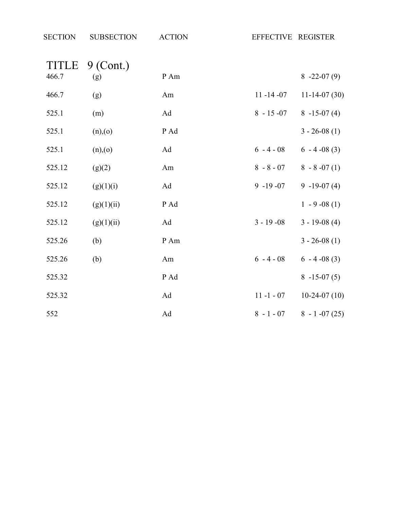| <b>SECTION</b>        | <b>SUBSECTION</b>  | <b>ACTION</b> | EFFECTIVE REGISTER |                  |
|-----------------------|--------------------|---------------|--------------------|------------------|
| <b>TITLE</b><br>466.7 | $9$ (Cont.)<br>(g) | P Am          |                    | $8 - 22 - 07(9)$ |
| 466.7                 | (g)                | Am            | $11 - 14 - 07$     | $11-14-07(30)$   |
| 525.1                 | (m)                | Ad            | $8 - 15 - 07$      | $8 - 15 - 07(4)$ |
| 525.1                 | (n),(o)            | P Ad          |                    | $3 - 26 - 08(1)$ |
| 525.1                 | (n),(o)            | Ad            | $6 - 4 - 08$       | $6 - 4 - 08(3)$  |
| 525.12                | (g)(2)             | Am            | $8 - 8 - 07$       | $8 - 8 - 07(1)$  |
| 525.12                | (g)(1)(i)          | Ad            | $9 - 19 - 07$      | $9 - 19 - 07(4)$ |
| 525.12                | (g)(1)(ii)         | P Ad          |                    | $1 - 9 - 08(1)$  |
| 525.12                | (g)(1)(ii)         | Ad            | $3 - 19 - 08$      | $3 - 19 - 08(4)$ |
| 525.26                | (b)                | P Am          |                    | $3 - 26 - 08(1)$ |
| 525.26                | (b)                | Am            | $6 - 4 - 08$       | $6 - 4 - 08(3)$  |
| 525.32                |                    | P Ad          |                    | $8 - 15 - 07(5)$ |
| 525.32                |                    | Ad            | $11 - 1 - 07$      | $10-24-07(10)$   |
| 552                   |                    | Ad            | $8 - 1 - 07$       | $8 - 1 -07(25)$  |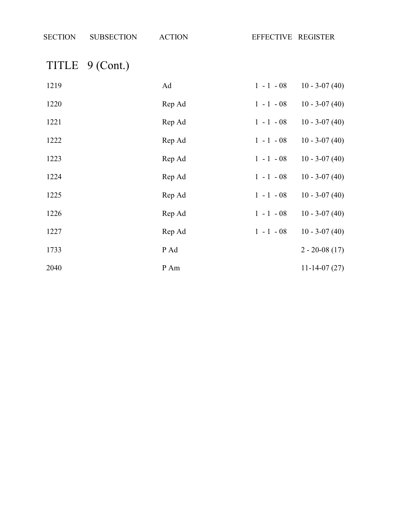| <b>SECTION</b> | <b>SUBSECTION</b> | <b>ACTION</b> | EFFECTIVE REGISTER                |
|----------------|-------------------|---------------|-----------------------------------|
|                | TITLE 9 (Cont.)   |               |                                   |
| 1219           |                   | Ad            | $10 - 3 - 07(40)$<br>$1 - 1 - 08$ |
| 1220           |                   | Rep Ad        | $1 - 1 - 08$<br>$10 - 3 - 07(40)$ |
| 1221           |                   | Rep Ad        | $10 - 3 - 07(40)$<br>$1 - 1 - 08$ |
| 1222           |                   | Rep Ad        | $10 - 3 - 07(40)$<br>$1 - 1 - 08$ |
| 1223           |                   | Rep Ad        | $1 - 1 - 08$<br>$10 - 3 - 07(40)$ |
| 1224           |                   | Rep Ad        | $1 - 1 - 08$<br>$10 - 3 - 07(40)$ |
| 1225           |                   | Rep Ad        | $1 - 1 - 08$<br>$10 - 3 - 07(40)$ |
| 1226           |                   | Rep Ad        | $1 - 1 - 08$<br>$10 - 3 - 07(40)$ |
| 1227           |                   | Rep Ad        | $1 - 1 - 08$<br>$10 - 3 - 07(40)$ |
| 1733           |                   | P Ad          | $2 - 20 - 08(17)$                 |
| 2040           |                   | P Am          | $11-14-07(27)$                    |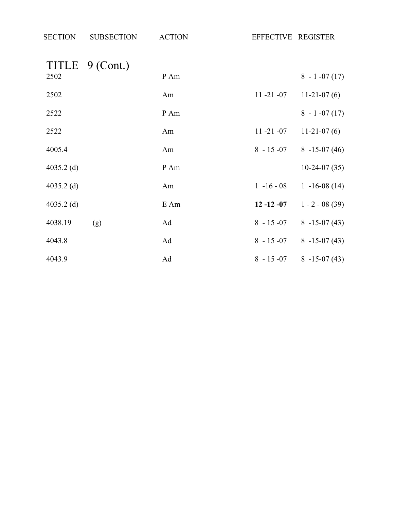| <b>SECTION</b> | <b>SUBSECTION</b> | <b>ACTION</b> | EFFECTIVE REGISTER |                   |
|----------------|-------------------|---------------|--------------------|-------------------|
|                | TITLE 9 (Cont.)   |               |                    |                   |
| 2502           |                   | P Am          |                    | $8 - 1 -07(17)$   |
| 2502           |                   | Am            | $11 - 21 - 07$     | $11-21-07(6)$     |
| 2522           |                   | P Am          |                    | $8 - 1 - 07(17)$  |
| 2522           |                   | Am            | $11 - 21 - 07$     | $11-21-07(6)$     |
| 4005.4         |                   | Am            | $8 - 15 - 07$      | $8 - 15 - 07(46)$ |
| 4035.2 $(d)$   |                   | P Am          |                    | $10-24-07(35)$    |
| $4035.2$ (d)   |                   | Am            | $1 - 16 - 08$      | $1 - 16 - 08(14)$ |
| 4035.2 $(d)$   |                   | E Am          | $12 - 12 - 07$     | $1 - 2 - 08(39)$  |
| 4038.19        | (g)               | Ad            | $8 - 15 - 07$      | $8 - 15 - 07(43)$ |
| 4043.8         |                   | Ad            | $8 - 15 - 07$      | $8 - 15 - 07(43)$ |
| 4043.9         |                   | Ad            | $8 - 15 - 07$      | $8 - 15 - 07(43)$ |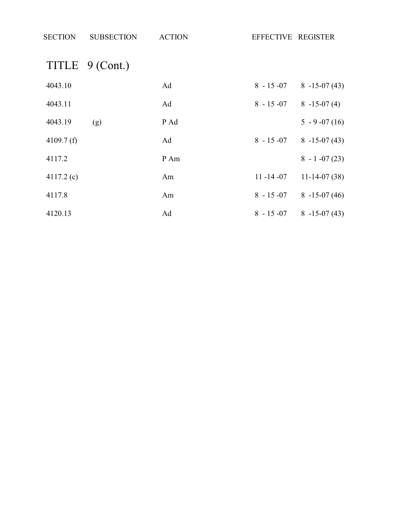| <b>SECTION</b> | <b>SUBSECTION</b> | <b>ACTION</b> | EFFECTIVE REGISTER |                   |
|----------------|-------------------|---------------|--------------------|-------------------|
|                |                   |               |                    |                   |
|                | TITLE 9 (Cont.)   |               |                    |                   |
| 4043.10        |                   | Ad            | $8 - 15 - 07$      | $8 - 15 - 07(43)$ |
| 4043.11        |                   | Ad            | $8 - 15 - 07$      | $8 - 15 - 07(4)$  |
| 4043.19        | (g)               | P Ad          |                    | $5 - 9 -07(16)$   |
| 4109.7 $(f)$   |                   | Ad            | $8 - 15 - 07$      | $8 - 15 - 07(43)$ |
| 4117.2         |                   | P Am          |                    | $8 - 1 - 07(23)$  |
| $4117.2$ (c)   |                   | Am            | $11 - 14 - 07$     | $11-14-07(38)$    |
| 4117.8         |                   | Am            | $8 - 15 - 07$      | $8 - 15 - 07(46)$ |
| 4120.13        |                   | Ad            | $8 - 15 - 07$      | $8 - 15 - 07(43)$ |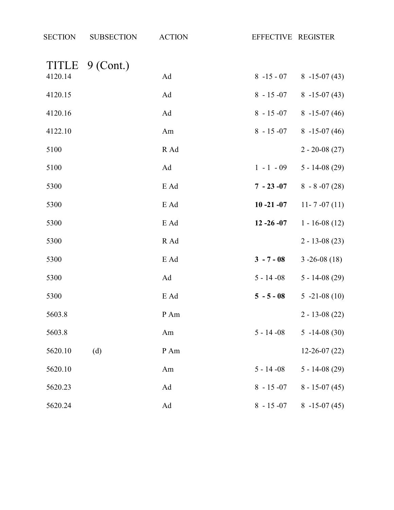| <b>SECTION</b> | <b>SUBSECTION</b> | <b>ACTION</b> | EFFECTIVE REGISTER |                                  |
|----------------|-------------------|---------------|--------------------|----------------------------------|
|                | TITLE 9 (Cont.)   |               |                    |                                  |
| 4120.14        |                   | Ad            |                    | $8 -15 -07$ $8 -15 -07$ (43)     |
| 4120.15        |                   | Ad            | $8 - 15 - 07$      | $8 - 15 - 07(43)$                |
| 4120.16        |                   | Ad            |                    | $8 - 15 - 07$ $8 - 15 - 07$ (46) |
| 4122.10        |                   | Am            |                    | $8 - 15 - 07$ $8 - 15 - 07$ (46) |
| 5100           |                   | R Ad          |                    | $2 - 20 - 08(27)$                |
| 5100           |                   | Ad            | $1 - 1 - 09$       | $5 - 14 - 08(29)$                |
| 5300           |                   | E Ad          |                    | $7 - 23 - 07$ 8 - 8 - 07 (28)    |
| 5300           |                   | E Ad          | $10 - 21 - 07$     | $11 - 7 - 07(11)$                |
| 5300           |                   | E Ad          | $12 - 26 - 07$     | $1 - 16 - 08(12)$                |
| 5300           |                   | R Ad          |                    | $2 - 13 - 08(23)$                |
| 5300           |                   | E Ad          | $3 - 7 - 08$       | $3 - 26 - 08(18)$                |
| 5300           |                   | Ad            | $5 - 14 - 08$      | $5 - 14 - 08(29)$                |
| 5300           |                   | E Ad          | $5 - 5 - 08$       | $5 -21 -08(10)$                  |
| 5603.8         |                   | P Am          |                    | $2 - 13 - 08(22)$                |
| 5603.8         |                   | Am            | $5 - 14 - 08$      | $5 - 14 - 08(30)$                |
| 5620.10        | (d)               | P Am          |                    | $12 - 26 - 07(22)$               |
| 5620.10        |                   | Am            | $5 - 14 - 08$      | $5 - 14 - 08(29)$                |
| 5620.23        |                   | Ad            | $8 - 15 - 07$      | $8 - 15 - 07(45)$                |
| 5620.24        |                   | Ad            | $8 - 15 - 07$      | $8 - 15 - 07(45)$                |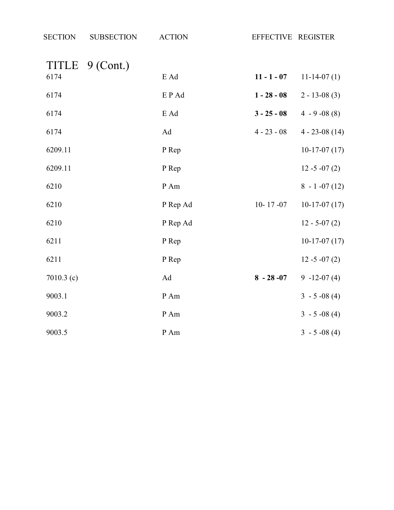| <b>SECTION</b> | <b>SUBSECTION</b> | <b>ACTION</b> | EFFECTIVE REGISTER |                    |
|----------------|-------------------|---------------|--------------------|--------------------|
| TITLE<br>6174  | $9$ (Cont.)       | E Ad          | $11 - 1 - 07$      | $11-14-07(1)$      |
| 6174           |                   | EP Ad         | $1 - 28 - 08$      | $2 - 13 - 08(3)$   |
| 6174           |                   | E Ad          | $3 - 25 - 08$      | $4 - 9 - 08(8)$    |
| 6174           |                   | Ad            | $4 - 23 - 08$      | $4 - 23 - 08$ (14) |
| 6209.11        |                   | P Rep         |                    | $10-17-07(17)$     |
| 6209.11        |                   | P Rep         |                    | $12 - 5 - 07(2)$   |
| 6210           |                   | P Am          |                    | $8 - 1 -07(12)$    |
| 6210           |                   | P Rep Ad      | $10 - 17 - 07$     | $10-17-07(17)$     |
| 6210           |                   | P Rep Ad      |                    | $12 - 5 - 07(2)$   |
| 6211           |                   | P Rep         |                    | $10-17-07(17)$     |
| 6211           |                   | P Rep         |                    | $12 - 5 - 07(2)$   |
| 7010.3 $(c)$   |                   | Ad            | $8 - 28 - 07$      | $9 - 12 - 07(4)$   |
| 9003.1         |                   | P Am          |                    | $3 - 5 -08(4)$     |
| 9003.2         |                   | P Am          |                    | $3 - 5 -08(4)$     |
| 9003.5         |                   | P Am          |                    | $3 - 5 -08(4)$     |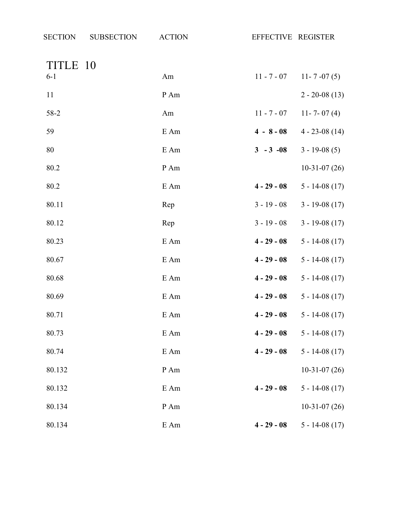| TITLE 10 |        |               |                    |
|----------|--------|---------------|--------------------|
| $6 - 1$  | Am     | $11 - 7 - 07$ | $11 - 7 - 07(5)$   |
| 11       | P Am   |               | $2 - 20 - 08(13)$  |
| 58-2     | Am     | $11 - 7 - 07$ | 11 - 7 - 07 (4)    |
| 59       | E Am   | $4 - 8 - 08$  | $4 - 23 - 08(14)$  |
| 80       | E Am   | $3 - 3 - 08$  | $3 - 19 - 08(5)$   |
| 80.2     | P Am   |               | $10-31-07(26)$     |
| 80.2     | E Am   | $4 - 29 - 08$ | $5 - 14 - 08(17)$  |
| 80.11    | Rep    | $3 - 19 - 08$ | $3 - 19 - 08(17)$  |
| 80.12    | Rep    | $3 - 19 - 08$ | $3 - 19 - 08(17)$  |
| 80.23    | E Am   | $4 - 29 - 08$ | $5 - 14 - 08(17)$  |
| 80.67    | E Am   | $4 - 29 - 08$ | $5 - 14 - 08(17)$  |
| 80.68    | E Am   | $4 - 29 - 08$ | $5 - 14 - 08(17)$  |
| 80.69    | E Am   | $4 - 29 - 08$ | $5 - 14 - 08(17)$  |
| 80.71    | E Am   | $4 - 29 - 08$ | $5 - 14 - 08(17)$  |
| 80.73    | E Am   | $4 - 29 - 08$ | $5 - 14 - 08(17)$  |
| 80.74    | $E$ Am | $4 - 29 - 08$ | $5 - 14 - 08$ (17) |
| 80.132   | P Am   |               | $10-31-07(26)$     |
| 80.132   | E Am   | $4 - 29 - 08$ | $5 - 14 - 08(17)$  |
| 80.134   | P Am   |               | $10-31-07(26)$     |
| 80.134   | E Am   | $4 - 29 - 08$ | $5 - 14 - 08$ (17) |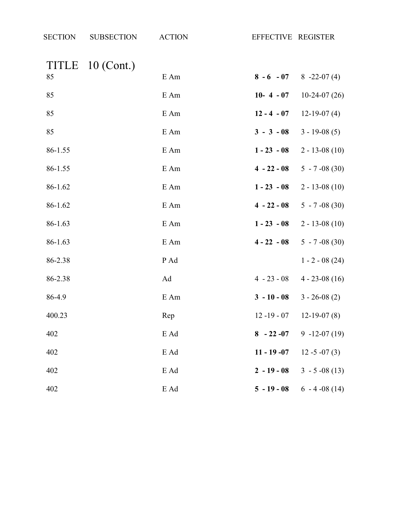| <b>SECTION</b> | <b>SUBSECTION</b> | <b>ACTION</b> | EFFECTIVE REGISTER |                   |
|----------------|-------------------|---------------|--------------------|-------------------|
|                | TITLE 10 (Cont.)  |               |                    |                   |
| 85             |                   | E Am          | $8 - 6 - 07$       | $8 - 22 - 07(4)$  |
| 85             |                   | E Am          | $10 - 4 - 07$      | $10-24-07(26)$    |
| 85             |                   | E Am          | $12 - 4 - 07$      | $12-19-07(4)$     |
| 85             |                   | E Am          | $3 - 3 - 08$       | $3 - 19 - 08(5)$  |
| 86-1.55        |                   | E Am          | $1 - 23 - 08$      | $2 - 13 - 08(10)$ |
| 86-1.55        |                   | E Am          | $4 - 22 - 08$      | $5 - 7 -08(30)$   |
| 86-1.62        |                   | E Am          | $1 - 23 - 08$      | $2 - 13 - 08(10)$ |
| 86-1.62        |                   | E Am          | $4 - 22 - 08$      | $5 - 7 -08(30)$   |
| 86-1.63        |                   | E Am          | $1 - 23 - 08$      | $2 - 13 - 08(10)$ |
| 86-1.63        |                   | E Am          | $4 - 22 - 08$      | $5 - 7 -08(30)$   |
| 86-2.38        |                   | P Ad          |                    | $1 - 2 - 08(24)$  |
| 86-2.38        |                   | Ad            | $4 - 23 - 08$      | $4 - 23 - 08(16)$ |
| 86-4.9         |                   | E Am          | $3 - 10 - 08$      | $3 - 26 - 08(2)$  |
| 400.23         |                   | Rep           | $12 - 19 - 07$     | $12-19-07(8)$     |
| 402            |                   | E Ad          | $8 - 22 - 07$      | $9 - 12 - 07(19)$ |
| 402            |                   | E Ad          | $11 - 19 - 07$     | $12 - 5 - 07(3)$  |
| 402            |                   | E Ad          | $2 - 19 - 08$      | $3 - 5 -08(13)$   |
| 402            |                   | E Ad          | $5 - 19 - 08$      | $6 - 4 - 08(14)$  |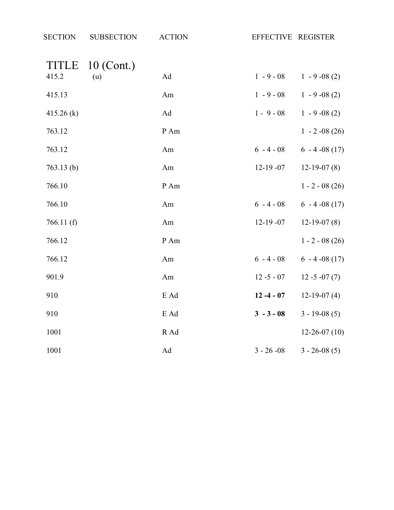| <b>SECTION</b> | <b>SUBSECTION</b> | <b>ACTION</b>       | EFFECTIVE REGISTER |                    |
|----------------|-------------------|---------------------|--------------------|--------------------|
| <b>TITLE</b>   | 10 (Cont.)        |                     |                    |                    |
| 415.2          | (u)               | $\operatorname{Ad}$ | $1 - 9 - 08$       | $1 - 9 - 08(2)$    |
| 415.13         |                   | Am                  | $1 - 9 - 08$       | $1 - 9 - 08(2)$    |
| 415.26 (k)     |                   | $\operatorname{Ad}$ | $1 - 9 - 08$       | $1 - 9 - 08(2)$    |
| 763.12         |                   | P Am                |                    | $1 - 2 -08(26)$    |
| 763.12         |                   | Am                  | $6 - 4 - 08$       | $6 - 4 - 08(17)$   |
| 763.13(b)      |                   | Am                  | $12-19-07$         | $12-19-07(8)$      |
| 766.10         |                   | P Am                |                    | $1 - 2 - 08(26)$   |
| 766.10         |                   | Am                  | $6 - 4 - 08$       | $6 - 4 - 08(17)$   |
| 766.11(f)      |                   | Am                  | $12-19-07$         | $12-19-07(8)$      |
| 766.12         |                   | P Am                |                    | $1 - 2 - 08(26)$   |
| 766.12         |                   | Am                  | $6 - 4 - 08$       | $6 - 4 - 08(17)$   |
| 901.9          |                   | Am                  | $12 - 5 - 07$      | $12 - 5 - 07(7)$   |
| 910            |                   | E Ad                | $12 - 4 - 07$      | $12-19-07(4)$      |
| 910            |                   | E Ad                | $3 - 3 - 08$       | $3 - 19 - 08(5)$   |
| 1001           |                   | R Ad                |                    | $12 - 26 - 07(10)$ |
| 1001           |                   | $\operatorname{Ad}$ | $3 - 26 - 08$      | $3 - 26 - 08(5)$   |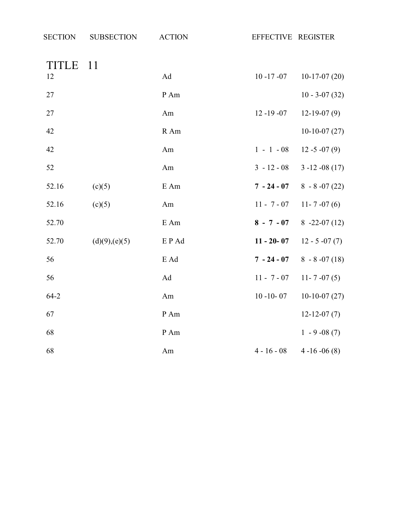| <b>SECTION</b> | <b>SUBSECTION</b> | <b>ACTION</b> | EFFECTIVE REGISTER |                   |
|----------------|-------------------|---------------|--------------------|-------------------|
| TITLE          | -11               |               |                    |                   |
| 12             |                   | Ad            | $10 - 17 - 07$     | $10-17-07(20)$    |
| 27             |                   | P Am          |                    | $10 - 3 - 07(32)$ |
| 27             |                   | Am            | $12 - 19 - 07$     | $12-19-07(9)$     |
| 42             |                   | R Am          |                    | $10-10-07(27)$    |
| 42             |                   | Am            | $1 - 1 - 08$       | $12 - 5 - 07(9)$  |
| 52             |                   | Am            | $3 - 12 - 08$      | $3 - 12 - 08(17)$ |
| 52.16          | (c)(5)            | $E$ Am        | $7 - 24 - 07$      | $8 - 8 - 07(22)$  |
| 52.16          | (c)(5)            | Am            | $11 - 7 - 07$      | 11 - 7 - 07 (6)   |
| 52.70          |                   | E Am          | $8 - 7 - 07$       | $8 - 22 - 07(12)$ |
| 52.70          | (d)(9),(e)(5)     | EP Ad         | $11 - 20 - 07$     | $12 - 5 - 07(7)$  |
| 56             |                   | E Ad          | $7 - 24 - 07$      | $8 - 8 - 07(18)$  |
| 56             |                   | Ad            | $11 - 7 - 07$      | $11 - 7 - 07(5)$  |
| $64 - 2$       |                   | Am            | $10 - 10 - 07$     | $10-10-07(27)$    |
| 67             |                   | P Am          |                    | $12 - 12 - 07(7)$ |
| 68             |                   | P Am          |                    | $1 - 9 - 08(7)$   |
| 68             |                   | Am            | $4 - 16 - 08$      | $4-16-06(8)$      |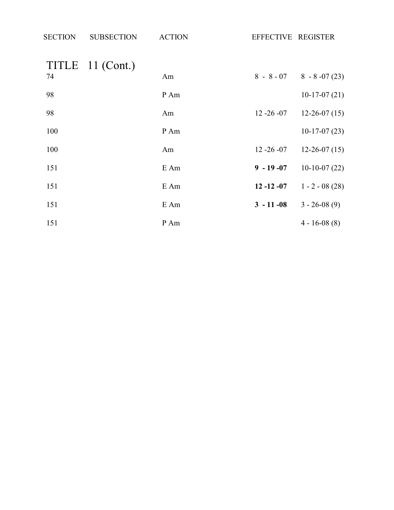| <b>SECTION</b> | <b>SUBSECTION</b> | <b>ACTION</b> | EFFECTIVE REGISTER |                                |
|----------------|-------------------|---------------|--------------------|--------------------------------|
|                | TITLE 11 (Cont.)  |               |                    |                                |
| 74             |                   | Am            |                    | $8 - 8 - 07$ $8 - 8 - 07$ (23) |
| 98             |                   | P Am          |                    | $10-17-07(21)$                 |
| 98             |                   | Am            | $12 - 26 - 07$     | $12-26-07(15)$                 |
| 100            |                   | P Am          |                    | $10-17-07(23)$                 |
| 100            |                   | Am            | $12 - 26 - 07$     | $12-26-07(15)$                 |
| 151            |                   | E Am          | $9 - 19 - 07$      | $10-10-07(22)$                 |
| 151            |                   | E Am          | $12 - 12 - 07$     | $1 - 2 - 08(28)$               |
| 151            |                   | E Am          | $3 - 11 - 08$      | $3 - 26 - 08(9)$               |
| 151            |                   | P Am          |                    | $4 - 16 - 08(8)$               |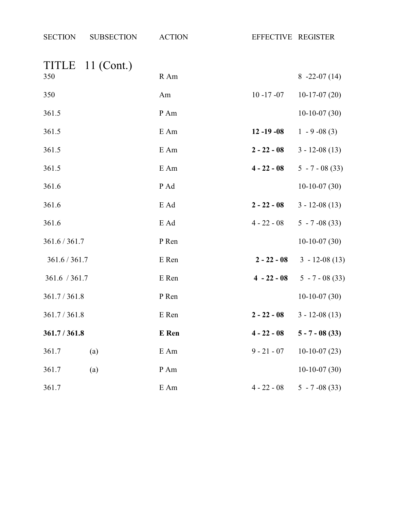| <b>SECTION</b> | <b>SUBSECTION</b> | <b>ACTION</b> |                | EFFECTIVE REGISTER |
|----------------|-------------------|---------------|----------------|--------------------|
|                | TITLE 11 (Cont.)  |               |                |                    |
| 350            |                   | R Am          |                | $8 - 22 - 07(14)$  |
| 350            |                   | Am            | $10 - 17 - 07$ | $10-17-07(20)$     |
| 361.5          |                   | P Am          |                | $10-10-07(30)$     |
| 361.5          |                   | E Am          | $12 - 19 - 08$ | $1 - 9 - 08(3)$    |
| 361.5          |                   | E Am          | $2 - 22 - 08$  | $3 - 12 - 08(13)$  |
| 361.5          |                   | E Am          | $4 - 22 - 08$  | $5 - 7 - 08(33)$   |
| 361.6          |                   | P Ad          |                | $10-10-07(30)$     |
| 361.6          |                   | E Ad          | $2 - 22 - 08$  | $3 - 12 - 08(13)$  |
| 361.6          |                   | E Ad          | $4 - 22 - 08$  | $5 - 7 -08(33)$    |
| 361.6 / 361.7  |                   | P Ren         |                | $10-10-07(30)$     |
| 361.6 / 361.7  |                   | E Ren         | $2 - 22 - 08$  | $3 - 12 - 08(13)$  |
| 361.6 / 361.7  |                   | E Ren         | $4 - 22 - 08$  | $5 - 7 - 08(33)$   |
| 361.7/361.8    |                   | P Ren         |                | $10-10-07(30)$     |
| 361.7 / 361.8  |                   | E Ren         | $2 - 22 - 08$  | $3 - 12 - 08(13)$  |
| 361.7 / 361.8  |                   | E Ren         | $4 - 22 - 08$  | $5 - 7 - 08$ (33)  |
| 361.7          | (a)               | E Am          | $9 - 21 - 07$  | $10-10-07(23)$     |
| 361.7          | (a)               | P Am          |                | $10-10-07(30)$     |
| 361.7          |                   | E Am          | $4 - 22 - 08$  | $5 - 7 -08(33)$    |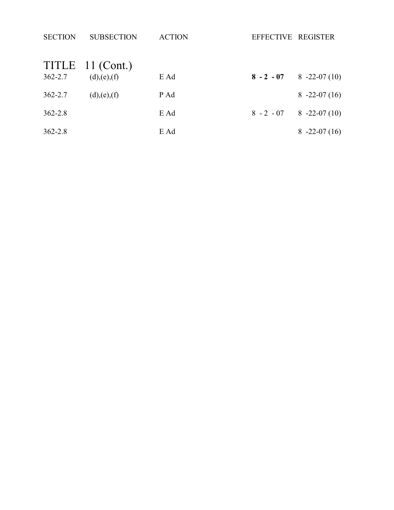| <b>SECTION</b> | <b>SUBSECTION</b> | <b>ACTION</b> | EFFECTIVE REGISTER |                   |
|----------------|-------------------|---------------|--------------------|-------------------|
|                | TITLE 11 (Cont.)  |               |                    |                   |
| $362 - 2.7$    | (d),(e),(f)       | E Ad          | $8 - 2 - 07$       | $8 - 22 - 07(10)$ |
| $362 - 2.7$    | (d),(e),(f)       | P Ad          |                    | $8 - 22 - 07(16)$ |
| $362 - 2.8$    |                   | E Ad          | $8 - 2 - 07$       | $8 - 22 - 07(10)$ |
| $362 - 2.8$    |                   | E Ad          |                    | $8 - 22 - 07(16)$ |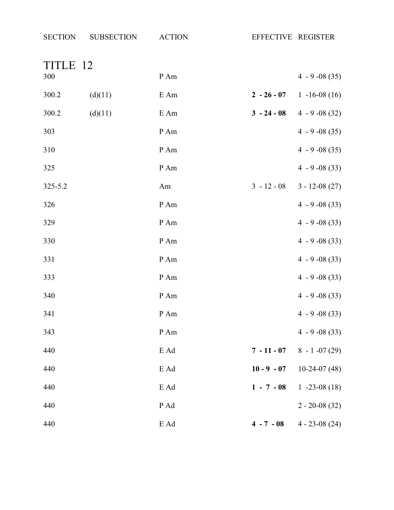| <b>SECTION</b> | <b>SUBSECTION</b> | <b>ACTION</b> | EFFECTIVE REGISTER |                               |
|----------------|-------------------|---------------|--------------------|-------------------------------|
| TITLE 12       |                   |               |                    |                               |
| 300            |                   | P Am          |                    | $4 - 9 -08(35)$               |
| 300.2          | (d)(11)           | E Am          |                    | $2 - 26 - 07$ 1 -16-08 (16)   |
| 300.2          | (d)(11)           | E Am          |                    | $3 - 24 - 08$ 4 - 9 - 08 (32) |
| 303            |                   | P Am          |                    | $4 - 9 - 08(35)$              |
| 310            |                   | P Am          |                    | $4 - 9 - 08(35)$              |
| 325            |                   | P Am          |                    | $4 - 9 -08(33)$               |
| 325-5.2        |                   | Am            | $3 - 12 - 08$      | $3 - 12 - 08(27)$             |
| 326            |                   | P Am          |                    | $4 - 9 -08(33)$               |
| 329            |                   | P Am          |                    | $4 - 9 -08(33)$               |
| 330            |                   | P Am          |                    | $4 - 9 - 08(33)$              |
| 331            |                   | P Am          |                    | $4 - 9 -08(33)$               |
| 333            |                   | P Am          |                    | $4 - 9 - 08(33)$              |
| 340            |                   | P Am          |                    | $4 - 9 - 08(33)$              |
| 341            |                   | $\,P\,Am$     |                    | $4 - 9 -08(33)$               |
| 343            |                   | P Am          |                    | $4 - 9 - 08(33)$              |
| 440            |                   | E Ad          |                    | $7 - 11 - 07$ 8 - 1 -07 (29)  |
| 440            |                   | E Ad          | $10 - 9 - 07$      | $10-24-07(48)$                |
| 440            |                   | E Ad          | $1 - 7 - 08$       | $1 - 23 - 08(18)$             |
| 440            |                   | P Ad          |                    | $2 - 20 - 08(32)$             |
| 440            |                   | E Ad          | $4 - 7 - 08$       | $4 - 23 - 08(24)$             |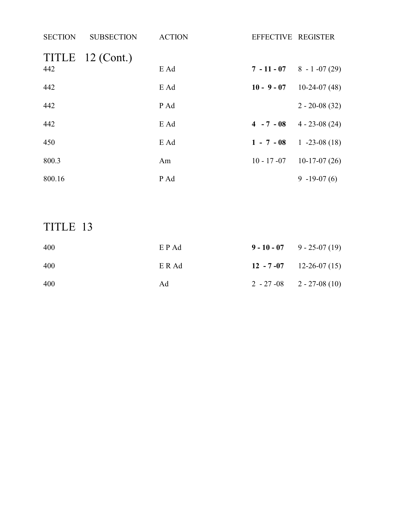| <b>SECTION</b> | <b>SUBSECTION</b> | <b>ACTION</b> | EFFECTIVE REGISTER |                                 |
|----------------|-------------------|---------------|--------------------|---------------------------------|
| 442            | TITLE 12 (Cont.)  | E Ad          |                    | $7 - 11 - 07$ 8 - 1 -07 (29)    |
| 442            |                   | E Ad          | $10 - 9 - 07$      | $10-24-07(48)$                  |
| 442            |                   | P Ad          |                    | $2 - 20 - 08(32)$               |
| 442            |                   | E Ad          |                    | $4 - 7 - 08$ $4 - 23 - 08$ (24) |
| 450            |                   | E Ad          | $1 - 7 - 08$       | $1 - 23 - 08(18)$               |
| 800.3          |                   | Am            | $10 - 17 - 07$     | $10-17-07(26)$                  |
| 800.16         |                   | P Ad          |                    | $9 - 19 - 07(6)$                |

## TITLE 13

| 400 | E P Ad | $9 - 10 - 07$ 9 - 25-07 (19)     |
|-----|--------|----------------------------------|
| 400 | E R Ad | 12 - 7 - 07 12 - 26 - 07 (15)    |
| 400 | Ad     | $2 - 27 - 08$ $2 - 27 - 08$ (10) |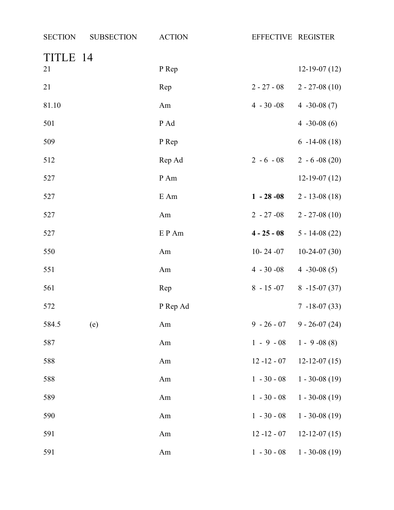| <b>SECTION</b> | <b>SUBSECTION</b> | <b>ACTION</b> | EFFECTIVE REGISTER |                              |
|----------------|-------------------|---------------|--------------------|------------------------------|
| TITLE 14<br>21 |                   | P Rep         |                    | $12-19-07(12)$               |
|                |                   |               |                    |                              |
| 21             |                   | Rep           | $2 - 27 - 08$      | $2 - 27 - 08(10)$            |
| 81.10          |                   | Am            | $4 - 30 - 08$      | 4 $-30-08(7)$                |
| 501            |                   | P Ad          |                    | $4 -30 -08(6)$               |
| 509            |                   | P Rep         |                    | $6 - 14 - 08(18)$            |
| 512            |                   | Rep Ad        | $2 - 6 - 08$       | $2 - 6 - 08(20)$             |
| 527            |                   | P Am          |                    | $12-19-07(12)$               |
| 527            |                   | E Am          | $1 - 28 - 08$      | $2 - 13 - 08(18)$            |
| 527            |                   | Am            | $2 - 27 - 08$      | $2 - 27 - 08(10)$            |
| 527            |                   | EP Am         | $4 - 25 - 08$      | $5 - 14 - 08(22)$            |
| 550            |                   | Am            | $10 - 24 - 07$     | $10-24-07(30)$               |
| 551            |                   | Am            | $4 - 30 - 08$      | $4 - 30 - 08(5)$             |
| 561            |                   | Rep           | $8 - 15 - 07$      | $8 - 15 - 07(37)$            |
| 572            |                   | P Rep Ad      |                    | $7 - 18 - 07(33)$            |
| 584.5          | (e)               | Am            |                    | $9 - 26 - 07$ 9 - 26-07 (24) |
| 587            |                   | Am            | $1 - 9 - 08$       | $1 - 9 - 08(8)$              |
| 588            |                   | Am            | $12 - 12 - 07$     | $12 - 12 - 07(15)$           |
| 588            |                   | Am            | $1 - 30 - 08$      | $1 - 30 - 08(19)$            |
| 589            |                   | Am            | $1 - 30 - 08$      | $1 - 30 - 08(19)$            |
| 590            |                   | Am            | $1 - 30 - 08$      | $1 - 30 - 08(19)$            |
| 591            |                   | Am            | $12 - 12 - 07$     | $12 - 12 - 07(15)$           |
| 591            |                   | Am            | $1 - 30 - 08$      | $1 - 30 - 08(19)$            |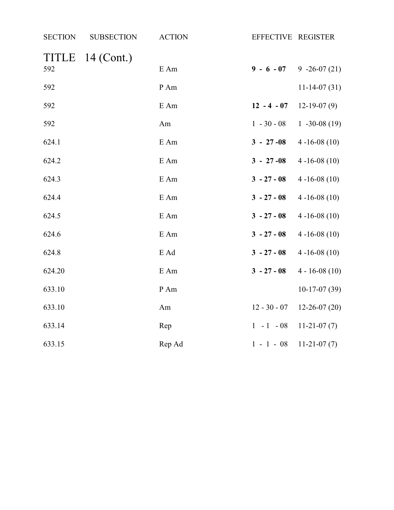| <b>SECTION</b>      | <b>SUBSECTION</b> | <b>ACTION</b> | EFFECTIVE REGISTER |                    |
|---------------------|-------------------|---------------|--------------------|--------------------|
| <b>TITLE</b><br>592 | $14$ (Cont.)      | E Am          | $9 - 6 - 07$       | $9 -26 -07(21)$    |
| 592                 |                   | P Am          |                    | $11-14-07(31)$     |
| 592                 |                   | E Am          | $12 - 4 - 07$      | $12-19-07(9)$      |
| 592                 |                   | Am            | $1 - 30 - 08$      | $1 -30 -08(19)$    |
| 624.1               |                   | E Am          | $3 - 27 - 08$      | $4 - 16 - 08(10)$  |
| 624.2               |                   | E Am          | $3 - 27 - 08$      | $4 - 16 - 08(10)$  |
| 624.3               |                   | E Am          | $3 - 27 - 08$      | $4 - 16 - 08(10)$  |
| 624.4               |                   | E Am          | $3 - 27 - 08$      | $4 - 16 - 08(10)$  |
| 624.5               |                   | E Am          | $3 - 27 - 08$      | $4 - 16 - 08(10)$  |
| 624.6               |                   | E Am          | $3 - 27 - 08$      | $4 - 16 - 08(10)$  |
| 624.8               |                   | E Ad          | $3 - 27 - 08$      | $4 - 16 - 08(10)$  |
| 624.20              |                   | E Am          | $3 - 27 - 08$      | $4 - 16 - 08(10)$  |
| 633.10              |                   | P Am          |                    | $10-17-07(39)$     |
| 633.10              |                   | Am            | $12 - 30 - 07$     | $12 - 26 - 07(20)$ |
| 633.14              |                   | Rep           | $1 - 1 - 08$       | $11-21-07(7)$      |
| 633.15              |                   | Rep Ad        | $1 - 1 - 08$       | $11-21-07(7)$      |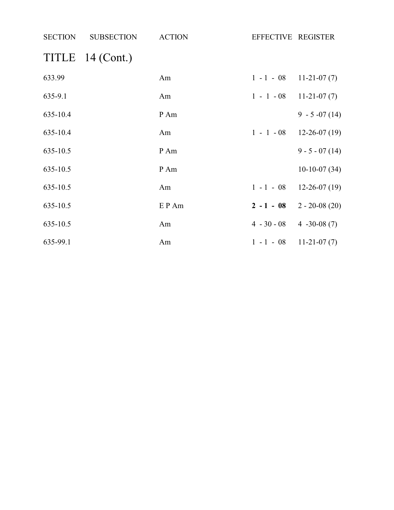| SECTION  | <b>SUBSECTION</b> | <b>ACTION</b> | EFFECTIVE REGISTER              |                             |
|----------|-------------------|---------------|---------------------------------|-----------------------------|
|          | TITLE 14 (Cont.)  |               |                                 |                             |
| 633.99   |                   | Am            | $1 - 1 - 08$ 11-21-07 (7)       |                             |
| 635-9.1  |                   | Am            | $1 - 1 - 08$ 11-21-07 (7)       |                             |
| 635-10.4 |                   | P Am          |                                 | $9 - 5 -07(14)$             |
| 635-10.4 |                   | Am            |                                 | $1 - 1 - 08$ 12-26-07 (19)  |
| 635-10.5 |                   | P Am          |                                 | $9 - 5 - 07(14)$            |
| 635-10.5 |                   | P Am          |                                 | $10-10-07(34)$              |
| 635-10.5 |                   | Am            |                                 | $1 - 1 - 08$ 12-26-07 (19)  |
| 635-10.5 |                   | E P Am        |                                 | $2 - 1 - 08$ 2 - 20-08 (20) |
| 635-10.5 |                   | Am            | $4 - 30 - 08$ $4 - 30 - 08$ (7) |                             |
| 635-99.1 |                   | Am            | $1 - 1 - 08$ 11-21-07 (7)       |                             |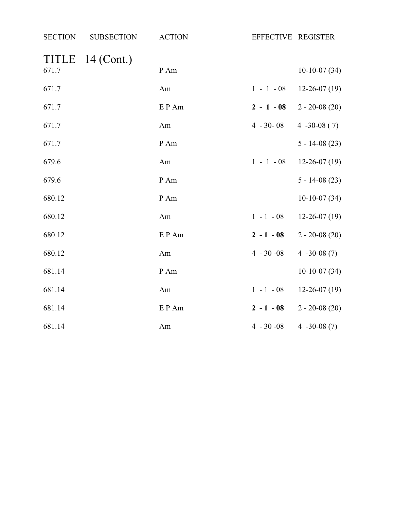| <b>SECTION</b> | <b>SUBSECTION</b> | <b>ACTION</b> | EFFECTIVE REGISTER |                   |
|----------------|-------------------|---------------|--------------------|-------------------|
| TITLE<br>671.7 | $14$ (Cont.)      | P Am          |                    | $10-10-07(34)$    |
| 671.7          |                   | Am            | $1 - 1 - 08$       | $12-26-07(19)$    |
| 671.7          |                   | E P Am        | $2 - 1 - 08$       | $2 - 20 - 08(20)$ |
| 671.7          |                   | Am            | $4 - 30 - 08$      | $4 -30 -08(7)$    |
| 671.7          |                   | P Am          |                    | $5 - 14 - 08(23)$ |
| 679.6          |                   | Am            | $1 - 1 - 08$       | $12-26-07(19)$    |
| 679.6          |                   | P Am          |                    | $5 - 14 - 08(23)$ |
| 680.12         |                   | P Am          |                    | $10-10-07(34)$    |
| 680.12         |                   | Am            | $1 - 1 - 08$       | $12-26-07(19)$    |
| 680.12         |                   | EP Am         | $2 - 1 - 08$       | $2 - 20 - 08(20)$ |
| 680.12         |                   | Am            | $4 - 30 - 08$      | 4 $-30-08(7)$     |
| 681.14         |                   | P Am          |                    | $10-10-07(34)$    |
| 681.14         |                   | Am            | $1 - 1 - 08$       | $12-26-07(19)$    |
| 681.14         |                   | EP Am         | $2 - 1 - 08$       | $2 - 20 - 08(20)$ |
| 681.14         |                   | Am            | $4 - 30 - 08$      | 4 $-30-08(7)$     |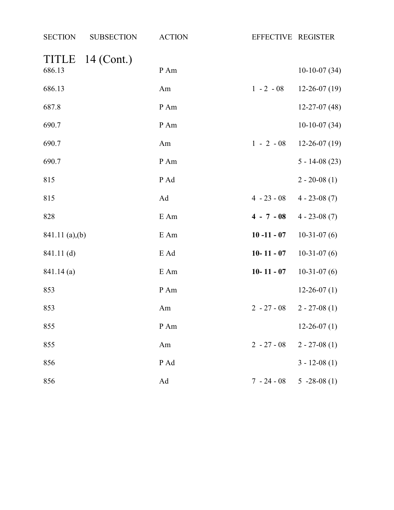| <b>SECTION</b>  | <b>SUBSECTION</b> | <b>ACTION</b> | EFFECTIVE REGISTER |                    |
|-----------------|-------------------|---------------|--------------------|--------------------|
| TITLE           | $14$ (Cont.)      |               |                    |                    |
| 686.13          |                   | P Am          |                    | $10-10-07(34)$     |
| 686.13          |                   | Am            | $1 - 2 - 08$       | $12 - 26 - 07(19)$ |
| 687.8           |                   | P Am          |                    | $12 - 27 - 07(48)$ |
| 690.7           |                   | P Am          |                    | $10-10-07(34)$     |
| 690.7           |                   | Am            | $1 - 2 - 08$       | $12 - 26 - 07(19)$ |
| 690.7           |                   | P Am          |                    | $5 - 14 - 08(23)$  |
| 815             |                   | P Ad          |                    | $2 - 20 - 08(1)$   |
| 815             |                   | Ad            | $4 - 23 - 08$      | $4 - 23 - 08(7)$   |
| 828             |                   | E Am          | $4 - 7 - 08$       | $4 - 23 - 08(7)$   |
| 841.11 (a), (b) |                   | E Am          | $10 - 11 - 07$     | $10-31-07(6)$      |
| 841.11(d)       |                   | E Ad          | $10 - 11 - 07$     | $10-31-07(6)$      |
| 841.14(a)       |                   | E Am          | $10 - 11 - 07$     | $10-31-07(6)$      |
| 853             |                   | P Am          |                    | $12 - 26 - 07(1)$  |
| 853             |                   | Am            | $2 - 27 - 08$      | $2 - 27 - 08(1)$   |
| 855             |                   | P Am          |                    | $12 - 26 - 07(1)$  |
| 855             |                   | Am            | $2 - 27 - 08$      | $2 - 27 - 08(1)$   |
| 856             |                   | P Ad          |                    | $3 - 12 - 08(1)$   |
| 856             |                   | Ad            | $7 - 24 - 08$      | $5 -28 -08(1)$     |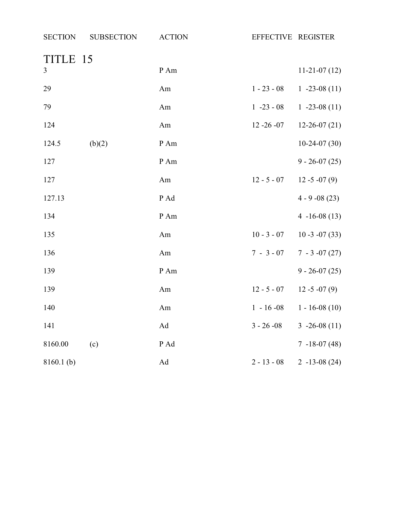| <b>SECTION</b> | <b>SUBSECTION</b> | <b>ACTION</b> | EFFECTIVE REGISTER |                    |
|----------------|-------------------|---------------|--------------------|--------------------|
| TITLE 15       |                   |               |                    |                    |
| $\mathfrak{Z}$ |                   | P Am          |                    | $11-21-07(12)$     |
| 29             |                   | Am            | $1 - 23 - 08$      | $1 - 23 - 08(11)$  |
| 79             |                   | Am            | $1 - 23 - 08$      | $1 - 23 - 08(11)$  |
| 124            |                   | Am            | $12 - 26 - 07$     | $12 - 26 - 07(21)$ |
| 124.5          | (b)(2)            | P Am          |                    | $10-24-07(30)$     |
| 127            |                   | P Am          |                    | $9 - 26 - 07(25)$  |
| 127            |                   | Am            | $12 - 5 - 07$      | $12 - 5 - 07(9)$   |
| 127.13         |                   | P Ad          |                    | $4 - 9 - 08(23)$   |
| 134            |                   | P Am          |                    | $4 - 16 - 08(13)$  |
| 135            |                   | Am            | $10 - 3 - 07$      | $10 - 3 - 07(33)$  |
| 136            |                   | Am            | $7 - 3 - 07$       | $7 - 3 -07(27)$    |
| 139            |                   | P Am          |                    | $9 - 26 - 07(25)$  |
| 139            |                   | Am            | $12 - 5 - 07$      | $12 - 5 - 07(9)$   |
| 140            |                   | Am            | $1 - 16 - 08$      | $1 - 16 - 08(10)$  |
| 141            |                   | Ad            | $3 - 26 - 08$      | $3 - 26 - 08(11)$  |
| 8160.00        | (c)               | P Ad          |                    | $7 - 18 - 07(48)$  |
| $8160.1$ (b)   |                   | Ad            | $2 - 13 - 08$      | $2 - 13 - 08(24)$  |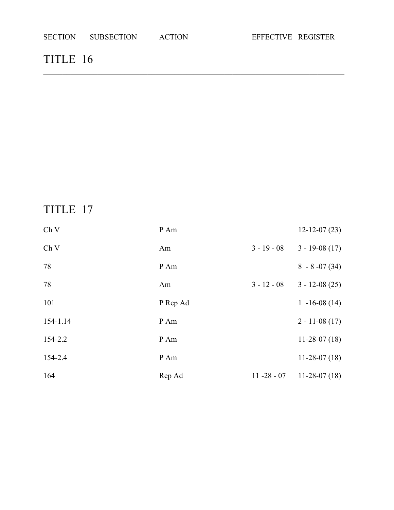### TITLE 16

## TITLE 17

| Ch V     | P Am     |                | $12 - 12 - 07(23)$ |
|----------|----------|----------------|--------------------|
| Ch V     | Am       | $3 - 19 - 08$  | $3 - 19 - 08(17)$  |
| 78       | P Am     |                | $8 - 8 - 07(34)$   |
| 78       | Am       | $3 - 12 - 08$  | $3 - 12 - 08(25)$  |
| 101      | P Rep Ad |                | $1 - 16 - 08(14)$  |
| 154-1.14 | P Am     |                | $2 - 11 - 08(17)$  |
| 154-2.2  | P Am     |                | $11-28-07(18)$     |
| 154-2.4  | P Am     |                | $11-28-07(18)$     |
| 164      | Rep Ad   | $11 - 28 - 07$ | $11-28-07(18)$     |

\_\_\_\_\_\_\_\_\_\_\_\_\_\_\_\_\_\_\_\_\_\_\_\_\_\_\_\_\_\_\_\_\_\_\_\_\_\_\_\_\_\_\_\_\_\_\_\_\_\_\_\_\_\_\_\_\_\_\_\_\_\_\_\_\_\_\_\_\_\_\_\_\_\_\_\_\_\_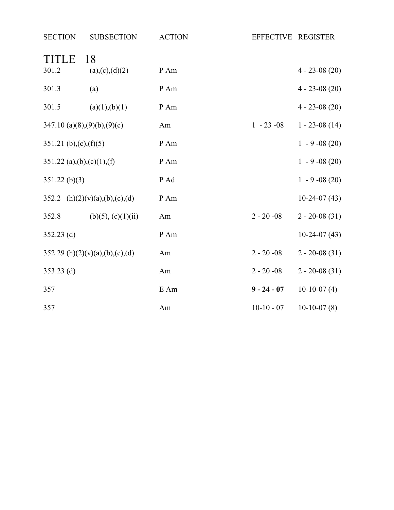| <b>SECTION</b>                | <b>SUBSECTION</b>               | <b>ACTION</b> | EFFECTIVE REGISTER |                   |
|-------------------------------|---------------------------------|---------------|--------------------|-------------------|
| <b>TITLE</b><br>301.2         | 18<br>(a),(c),(d)(2)            | P Am          |                    | $4 - 23 - 08(20)$ |
| 301.3                         | (a)                             | P Am          |                    | $4 - 23 - 08(20)$ |
| 301.5                         | (a)(1),(b)(1)                   | P Am          |                    | $4 - 23 - 08(20)$ |
| $347.10$ (a)(8),(9)(b),(9)(c) |                                 | Am            | $1 - 23 - 08$      | $1 - 23 - 08(14)$ |
| 351.21 (b), $(c)$ , $(f)(5)$  |                                 | P Am          |                    | $1 - 9 -08(20)$   |
| 351.22 (a),(b),(c)(1),(f)     |                                 | P Am          |                    | $1 - 9 - 08(20)$  |
| $351.22$ (b)(3)               |                                 | P Ad          |                    | $1 - 9 - 08(20)$  |
|                               | 352.2 (h)(2)(v)(a),(b),(c),(d)  | P Am          |                    | $10-24-07(43)$    |
| 352.8                         | (b)(5), (c)(1)(ii)              | Am            | $2 - 20 - 08$      | $2 - 20 - 08(31)$ |
| $352.23$ (d)                  |                                 | P Am          |                    | $10-24-07(43)$    |
|                               | 352.29 (h)(2)(v)(a),(b),(c),(d) | Am            | $2 - 20 - 08$      | $2 - 20 - 08(31)$ |
| $353.23$ (d)                  |                                 | Am            | $2 - 20 - 08$      | $2 - 20 - 08(31)$ |
| 357                           |                                 | E Am          | $9 - 24 - 07$      | $10-10-07(4)$     |
| 357                           |                                 | Am            | $10-10 - 07$       | $10-10-07(8)$     |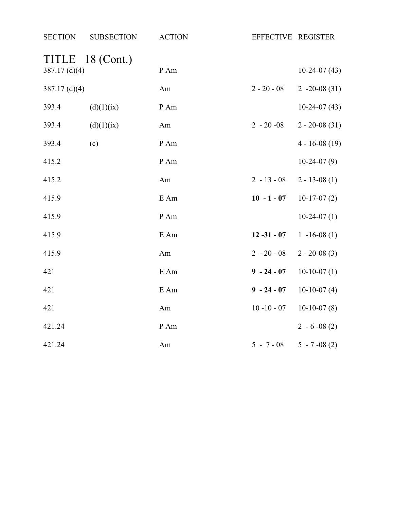| <b>SECTION</b>  | <b>SUBSECTION</b> | <b>ACTION</b> | EFFECTIVE REGISTER |                   |
|-----------------|-------------------|---------------|--------------------|-------------------|
| 387.17 $(d)(4)$ | TITLE 18 (Cont.)  | P Am          |                    | $10-24-07(43)$    |
| 387.17 $(d)(4)$ |                   | Am            | $2 - 20 - 08$      | $2 -20 -08(31)$   |
| 393.4           | (d)(1)(ix)        | P Am          |                    | $10-24-07(43)$    |
| 393.4           | (d)(1)(ix)        | Am            | $2 - 20 -08$       | $2 - 20 - 08(31)$ |
| 393.4           | (c)               | P Am          |                    | $4 - 16 - 08(19)$ |
| 415.2           |                   | P Am          |                    | $10-24-07(9)$     |
| 415.2           |                   | Am            | $2 - 13 - 08$      | $2 - 13 - 08(1)$  |
| 415.9           |                   | E Am          | $10 - 1 - 07$      | $10-17-07(2)$     |
| 415.9           |                   | P Am          |                    | $10-24-07(1)$     |
| 415.9           |                   | E Am          | $12 - 31 - 07$     | $1 - 16 - 08(1)$  |
| 415.9           |                   | Am            | $2 - 20 - 08$      | $2 - 20 - 08(3)$  |
| 421             |                   | E Am          | $9 - 24 - 07$      | $10-10-07(1)$     |
| 421             |                   | E Am          | $9 - 24 - 07$      | $10-10-07(4)$     |
| 421             |                   | Am            | $10 - 10 - 07$     | $10-10-07(8)$     |
| 421.24          |                   | P Am          |                    | $2 - 6 - 08(2)$   |
| 421.24          |                   | Am            | $5 - 7 - 08$       | $5 - 7 -08(2)$    |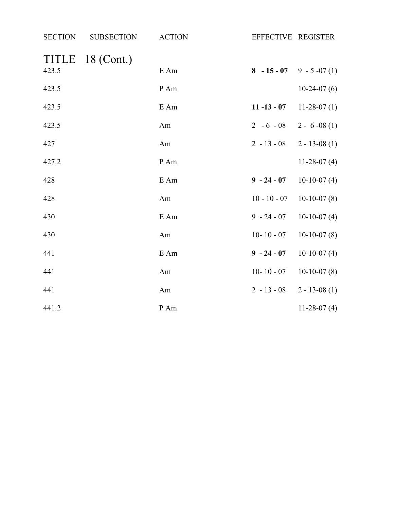| <b>SECTION</b> | <b>SUBSECTION</b> | <b>ACTION</b> | EFFECTIVE REGISTER            |                  |
|----------------|-------------------|---------------|-------------------------------|------------------|
| TITLE          | 18 (Cont.)        |               |                               |                  |
| 423.5          |                   | E Am          | $8 - 15 - 07$ 9 - 5 -07 (1)   |                  |
| 423.5          |                   | P Am          |                               | $10-24-07(6)$    |
| 423.5          |                   | E Am          | 11 -13 - 07 11 - 28 - 07 (1)  |                  |
| 423.5          |                   | Am            | $2 - 6 - 08$ $2 - 6 - 08$ (1) |                  |
| 427            |                   | Am            | $2 - 13 - 08$                 | $2 - 13 - 08(1)$ |
| 427.2          |                   | P Am          |                               | $11-28-07(4)$    |
| 428            |                   | $E$ Am        | $9 - 24 - 07$                 | $10-10-07(4)$    |
| 428            |                   | Am            | $10 - 10 - 07$                | $10-10-07(8)$    |
| 430            |                   | $E$ Am        | $9 - 24 - 07$                 | $10-10-07(4)$    |
| 430            |                   | Am            | $10 - 10 - 07$                | $10-10-07(8)$    |
| 441            |                   | $E$ Am        | $9 - 24 - 07$                 | $10-10-07(4)$    |
| 441            |                   | Am            | $10 - 10 - 07$                | $10-10-07(8)$    |
| 441            |                   | Am            | $2 - 13 - 08$                 | $2 - 13 - 08(1)$ |
| 441.2          |                   | P Am          |                               | $11-28-07(4)$    |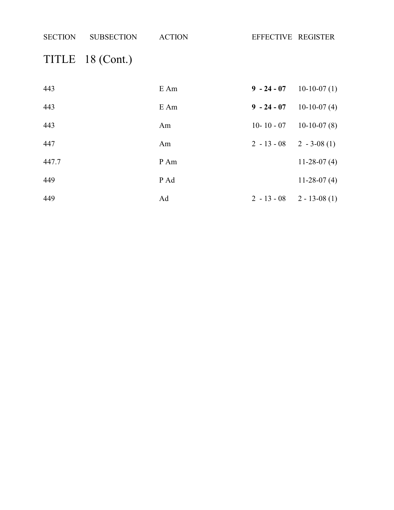SECTION SUBSECTION ACTION EFFECTIVE REGISTER TITLE 18 (Cont.) E Am **9 - 24 - 07** 10-10-07 (1) E Am **9 - 24 - 07** 10-10-07 (4) Am 10- 10 - 07 10-10-07 (8) Am 2 - 13 - 08 2 - 3-08 (1) 447.7 P Am 11-28-07 (4) P Ad 11-28-07 (4)

Ad 2 - 13 - 08 2 - 13-08 (1)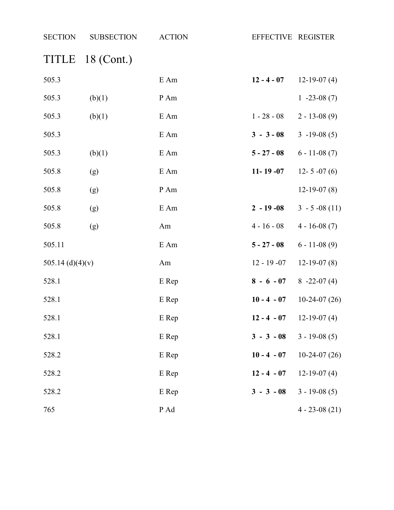| <b>SECTION</b>   | <b>SUBSECTION</b> | <b>ACTION</b> | EFFECTIVE REGISTER |                   |
|------------------|-------------------|---------------|--------------------|-------------------|
| TITLE            | 18 (Cont.)        |               |                    |                   |
| 505.3            |                   | E Am          | $12 - 4 - 07$      | $12-19-07(4)$     |
| 505.3            | (b)(1)            | P Am          |                    | $1 - 23 - 08(7)$  |
| 505.3            | (b)(1)            | E Am          | $1 - 28 - 08$      | $2 - 13 - 08(9)$  |
| 505.3            |                   | E Am          | $3 - 3 - 08$       | $3 - 19 - 08(5)$  |
| 505.3            | (b)(1)            | E Am          | $5 - 27 - 08$      | $6 - 11 - 08(7)$  |
| 505.8            | (g)               | E Am          | $11 - 19 - 07$     | $12 - 5 - 07(6)$  |
| 505.8            | (g)               | $\,P\,Am$     |                    | $12-19-07(8)$     |
| 505.8            | (g)               | E Am          | $2 - 19 - 08$      | $3 - 5 -08(11)$   |
| 505.8            | (g)               | Am            | $4 - 16 - 08$      | $4 - 16 - 08(7)$  |
| 505.11           |                   | E Am          | $5 - 27 - 08$      | $6 - 11 - 08(9)$  |
| 505.14 (d)(4)(v) |                   | Am            | $12 - 19 - 07$     | $12-19-07(8)$     |
| 528.1            |                   | E Rep         | $8 - 6 - 07$       | $8 - 22 - 07(4)$  |
| 528.1            |                   | E Rep         | $10 - 4 - 07$      | $10-24-07(26)$    |
| 528.1            |                   | E Rep         | $12 - 4 - 07$      | $12-19-07(4)$     |
| 528.1            |                   | E Rep         | $3 - 3 - 08$       | $3 - 19 - 08(5)$  |
| 528.2            |                   | E Rep         | $10 - 4 - 07$      | $10-24-07(26)$    |
| 528.2            |                   | E Rep         | $12 - 4 - 07$      | $12-19-07(4)$     |
| 528.2            |                   | E Rep         | $3 - 3 - 08$       | $3 - 19 - 08(5)$  |
| 765              |                   | P Ad          |                    | $4 - 23 - 08(21)$ |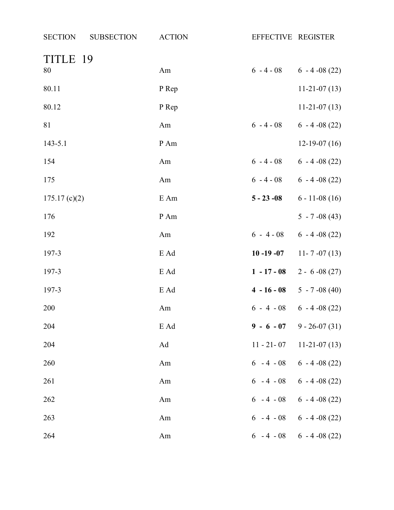| <b>SECTION</b><br><b>SUBSECTION</b> | <b>ACTION</b> | EFFECTIVE REGISTER |                                    |
|-------------------------------------|---------------|--------------------|------------------------------------|
| TITLE 19                            |               |                    |                                    |
| 80                                  | Am            |                    | $6 - 4 - 08$ $6 - 4 - 08$ (22)     |
| 80.11                               | P Rep         |                    | $11-21-07(13)$                     |
| 80.12                               | P Rep         |                    | $11-21-07(13)$                     |
| 81                                  | Am            | $6 - 4 - 08$       | $6 - 4 -08(22)$                    |
| $143 - 5.1$                         | P Am          |                    | $12-19-07(16)$                     |
| 154                                 | Am            |                    | $6 - 4 - 08$ $6 - 4 - 08$ (22)     |
| 175                                 | Am            |                    | $6 - 4 - 08$ $6 - 4 - 08$ (22)     |
| 175.17(c)(2)                        | E Am          | $5 - 23 - 08$      | $6 - 11 - 08(16)$                  |
| 176                                 | P Am          |                    | $5 - 7 -08(43)$                    |
| 192                                 | Am            |                    | $6 - 4 - 08$ $6 - 4 - 08$ (22)     |
| 197-3                               | E Ad          | $10 - 19 - 07$     | $11 - 7 - 07(13)$                  |
| 197-3                               | E Ad          | $1 - 17 - 08$      | $2 - 6 - 08(27)$                   |
| 197-3                               | E Ad          |                    | $4 - 16 - 08$ $5 - 7 - 08$ (40)    |
| 200                                 | Am            |                    | $6 - 4 - 08$ $6 - 4 - 08$ (22)     |
| 204                                 | E Ad          |                    | $9 - 6 - 07$ 9 - 26-07 (31)        |
| 204                                 | Ad            |                    | $11 - 21 - 07$ $11 - 21 - 07$ (13) |
| 260                                 | Am            |                    | $6 - 4 - 08$ $6 - 4 - 08$ (22)     |
| 261                                 | Am            |                    | $6 - 4 - 08$ $6 - 4 - 08$ (22)     |
| 262                                 | Am            |                    | $6 - 4 - 08$ $6 - 4 - 08$ (22)     |
| 263                                 | Am            |                    | $6 - 4 - 08$ $6 - 4 - 08$ (22)     |
| 264                                 | Am            |                    | $6 - 4 - 08$ $6 - 4 - 08$ (22)     |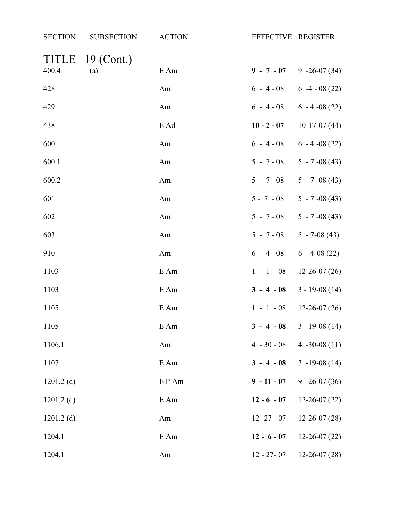| <b>SECTION</b> | <b>SUBSECTION</b>   | <b>ACTION</b> | EFFECTIVE REGISTER |                                |
|----------------|---------------------|---------------|--------------------|--------------------------------|
| TITLE<br>400.4 | $19$ (Cont.)<br>(a) | E Am          |                    | $9 - 7 - 07$ 9 -26-07 (34)     |
| 428            |                     | Am            |                    | $6 - 4 - 08$ $6 - 4 - 08$ (22) |
| 429            |                     | Am            |                    | $6 - 4 - 08$ $6 - 4 - 08$ (22) |
| 438            |                     | E Ad          |                    | 10 - 2 - 07 10-17-07 (44)      |
| 600            |                     | Am            |                    | $6 - 4 - 08$ $6 - 4 - 08$ (22) |
| 600.1          |                     | Am            |                    | $5 - 7 - 08$ $5 - 7 - 08$ (43) |
| 600.2          |                     | Am            |                    | $5 - 7 - 08$ $5 - 7 - 08$ (43) |
| 601            |                     | Am            |                    | $5 - 7 - 08$ $5 - 7 - 08$ (43) |
| 602            |                     | Am            | $5 - 7 - 08$       | $5 - 7 -08(43)$                |
| 603            |                     | Am            | $5 - 7 - 08$       | $5 - 7 - 08(43)$               |
| 910            |                     | Am            |                    | $6 - 4 - 08$ $6 - 4 - 08$ (22) |
| 1103           |                     | E Am          | $1 - 1 - 08$       | $12 - 26 - 07(26)$             |
| 1103           |                     | E Am          | $3 - 4 - 08$       | $3 - 19 - 08(14)$              |
| 1105           |                     | E Am          | $1 - 1 - 08$       | $12 - 26 - 07(26)$             |
| 1105           |                     | E Am          | $3 - 4 - 08$       | $3 - 19 - 08(14)$              |
| 1106.1         |                     | Am            | $4 - 30 - 08$      | 4 $-30-08(11)$                 |
| 1107           |                     | E Am          | $3 - 4 - 08$       | $3 - 19 - 08(14)$              |
| $1201.2$ (d)   |                     | EP Am         | $9 - 11 - 07$      | $9 - 26 - 07(36)$              |
| $1201.2$ (d)   |                     | E Am          | $12 - 6 - 07$      | $12 - 26 - 07(22)$             |
| $1201.2$ (d)   |                     | Am            | $12 - 27 - 07$     | $12 - 26 - 07(28)$             |
| 1204.1         |                     | E Am          | $12 - 6 - 07$      | $12 - 26 - 07(22)$             |
| 1204.1         |                     | Am            | $12 - 27 - 07$     | $12 - 26 - 07(28)$             |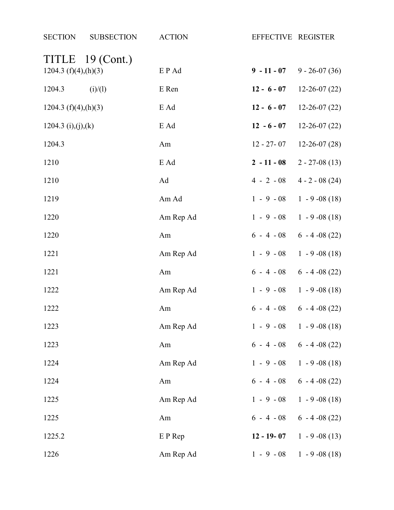| <b>SECTION</b>             | <b>SUBSECTION</b> | <b>ACTION</b> | EFFECTIVE REGISTER |                                |
|----------------------------|-------------------|---------------|--------------------|--------------------------------|
| 1204.3 $(f)(4)$ , $(h)(3)$ | TITLE 19 (Cont.)  | EP Ad         | $9 - 11 - 07$      | $9 - 26 - 07(36)$              |
| 1204.3                     | (i)/(1)           | E Ren         | $12 - 6 - 07$      | $12 - 26 - 07(22)$             |
| 1204.3 $(f)(4)$ , $(h)(3)$ |                   | E Ad          | $12 - 6 - 07$      | $12 - 26 - 07(22)$             |
| 1204.3 (i),(j),(k)         |                   | E Ad          | $12 - 6 - 07$      | $12 - 26 - 07(22)$             |
| 1204.3                     |                   | Am            | 12 - 27- 07        | $12 - 26 - 07(28)$             |
| 1210                       |                   | E Ad          | $2 - 11 - 08$      | $2 - 27 - 08(13)$              |
| 1210                       |                   | Ad            | $4 - 2 - 08$       | $4 - 2 - 08(24)$               |
| 1219                       |                   | Am Ad         | $1 - 9 - 08$       | $1 - 9 - 08(18)$               |
| 1220                       |                   | Am Rep Ad     | $1 - 9 - 08$       | $1 - 9 - 08(18)$               |
| 1220                       |                   | Am            |                    | $6 - 4 - 08$ $6 - 4 - 08$ (22) |
| 1221                       |                   | Am Rep Ad     | $1 - 9 - 08$       | $1 - 9 - 08(18)$               |
| 1221                       |                   | Am            |                    | $6 - 4 - 08$ $6 - 4 - 08$ (22) |
| 1222                       |                   | Am Rep Ad     |                    | $1 - 9 - 08$ 1 - 9 - 08 (18)   |
| 1222                       |                   | Am            |                    | $6 - 4 - 08$ $6 - 4 - 08$ (22) |
| 1223                       |                   | Am Rep Ad     |                    | $1 - 9 - 08$ 1 - 9 - 08 (18)   |
| 1223                       |                   | Am            |                    | $6 - 4 - 08$ $6 - 4 - 08$ (22) |
| 1224                       |                   | Am Rep Ad     |                    | $1 - 9 - 08$ 1 - 9 - 08 (18)   |
| 1224                       |                   | Am            |                    | $6 - 4 - 08$ $6 - 4 - 08$ (22) |
| 1225                       |                   | Am Rep Ad     |                    | $1 - 9 - 08$ 1 - 9 - 08 (18)   |
| 1225                       |                   | Am            |                    | $6 - 4 - 08$ $6 - 4 - 08$ (22) |
| 1225.2                     |                   | E P Rep       |                    | 12 - 19 - 07 $1 - 9 - 08(13)$  |
| 1226                       |                   | Am Rep Ad     | $1 - 9 - 08$       | $1 - 9 -08(18)$                |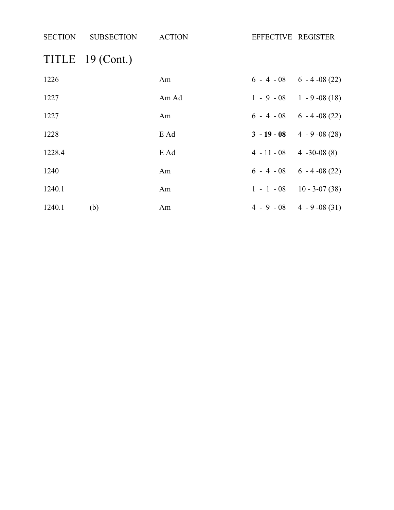| <b>SECTION</b> | <b>SUBSECTION</b> | <b>ACTION</b> | EFFECTIVE REGISTER              |                                |
|----------------|-------------------|---------------|---------------------------------|--------------------------------|
|                | TITLE 19 (Cont.)  |               |                                 |                                |
| 1226           |                   | Am            |                                 | $6 - 4 - 08$ $6 - 4 - 08$ (22) |
| 1227           |                   | Am Ad         |                                 | $1 - 9 - 08$ 1 - 9 - 08 (18)   |
| 1227           |                   | Am            |                                 | $6 - 4 - 08$ $6 - 4 - 08$ (22) |
| 1228           |                   | E Ad          |                                 | $3 - 19 - 08$ 4 - 9 - 08 (28)  |
| 1228.4         |                   | E Ad          | $4 - 11 - 08$ $4 - 30 - 08$ (8) |                                |
| 1240           |                   | Am            |                                 | $6 - 4 - 08$ $6 - 4 - 08$ (22) |
| 1240.1         |                   | Am            |                                 | $1 - 1 - 08$ 10 - 3-07 (38)    |
| 1240.1         | (b)               | Am            |                                 | $4 - 9 - 08$ $4 - 9 - 08$ (31) |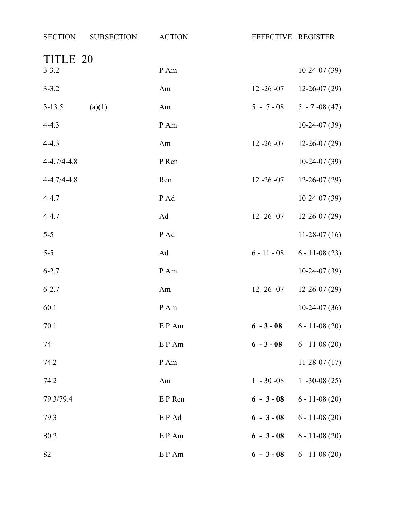| <b>SECTION</b>    | <b>SUBSECTION</b> | <b>ACTION</b> | EFFECTIVE REGISTER |                    |
|-------------------|-------------------|---------------|--------------------|--------------------|
| TITLE 20          |                   |               |                    |                    |
| $3 - 3.2$         |                   | P Am          |                    | $10-24-07(39)$     |
| $3 - 3.2$         |                   | Am            | $12 - 26 - 07$     | $12 - 26 - 07(29)$ |
| $3 - 13.5$        | (a)(1)            | Am            | $5 - 7 - 08$       | $5 - 7 -08(47)$    |
| $4 - 4.3$         |                   | P Am          |                    | $10-24-07(39)$     |
| $4 - 4.3$         |                   | Am            | $12 - 26 - 07$     | $12 - 26 - 07(29)$ |
| $4 - 4.7/4 - 4.8$ |                   | P Ren         |                    | $10-24-07(39)$     |
| $4 - 4.7/4 - 4.8$ |                   | Ren           | $12 - 26 - 07$     | $12 - 26 - 07(29)$ |
| $4 - 4.7$         |                   | P Ad          |                    | $10-24-07(39)$     |
| $4 - 4.7$         |                   | Ad            | $12 - 26 - 07$     | $12 - 26 - 07(29)$ |
| $5 - 5$           |                   | P Ad          |                    | $11-28-07(16)$     |
| $5 - 5$           |                   | Ad            | $6 - 11 - 08$      | $6 - 11 - 08(23)$  |
| $6 - 2.7$         |                   | P Am          |                    | $10-24-07(39)$     |
| $6 - 2.7$         |                   | Am            | $12 - 26 - 07$     | $12 - 26 - 07(29)$ |
| 60.1              |                   | P Am          |                    | $10-24-07(36)$     |
| 70.1              |                   | E P Am        | $6 - 3 - 08$       | $6 - 11 - 08(20)$  |
| 74                |                   | E P Am        | $6 - 3 - 08$       | $6 - 11 - 08(20)$  |
| 74.2              |                   | P Am          |                    | $11-28-07(17)$     |
| 74.2              |                   | Am            | $1 - 30 - 08$      | $1 -30 -08(25)$    |
| 79.3/79.4         |                   | E P Ren       | $6 - 3 - 08$       | $6 - 11 - 08(20)$  |
| 79.3              |                   | E P Ad        | $6 - 3 - 08$       | $6 - 11 - 08(20)$  |
| 80.2              |                   | E P Am        | $6 - 3 - 08$       | $6 - 11 - 08(20)$  |
| 82                |                   | E P Am        | $6 - 3 - 08$       | $6 - 11 - 08(20)$  |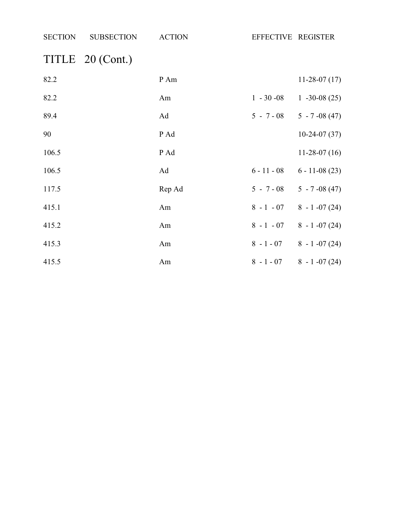| <b>SECTION</b> | <b>SUBSECTION</b> | <b>ACTION</b> | EFFECTIVE REGISTER |                                  |
|----------------|-------------------|---------------|--------------------|----------------------------------|
|                | TITLE 20 (Cont.)  |               |                    |                                  |
| 82.2           |                   | P Am          |                    | $11-28-07(17)$                   |
| 82.2           |                   | Am            |                    | $1 - 30 - 08$ 1 - 30 - 08 (25)   |
| 89.4           |                   | Ad            |                    | $5 - 7 - 08$ $5 - 7 - 08$ (47)   |
| 90             |                   | P Ad          |                    | $10-24-07(37)$                   |
| 106.5          |                   | P Ad          |                    | $11-28-07(16)$                   |
| 106.5          |                   | Ad            |                    | $6 - 11 - 08$ $6 - 11 - 08$ (23) |
| 117.5          |                   | Rep Ad        |                    | $5 - 7 - 08$ $5 - 7 - 08$ (47)   |
| 415.1          |                   | Am            |                    | $8 - 1 - 07$ $8 - 1 - 07$ (24)   |
| 415.2          |                   | Am            |                    | $8 - 1 - 07$ $8 - 1 - 07$ (24)   |
| 415.3          |                   | Am            |                    | $8 - 1 - 07$ $8 - 1 - 07$ (24)   |
| 415.5          |                   | Am            |                    | $8 - 1 - 07$ $8 - 1 - 07$ (24)   |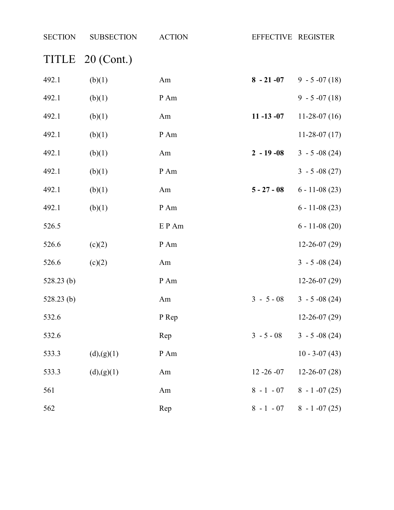| <b>SECTION</b> | <b>SUBSECTION</b> | <b>ACTION</b> | EFFECTIVE REGISTER |                              |
|----------------|-------------------|---------------|--------------------|------------------------------|
|                | TITLE 20 (Cont.)  |               |                    |                              |
| 492.1          | (b)(1)            | Am            |                    | $8 - 21 - 07$ 9 - 5 -07 (18) |
| 492.1          | (b)(1)            | P Am          |                    | $9 - 5 -07(18)$              |
| 492.1          | (b)(1)            | Am            | $11 - 13 - 07$     | $11-28-07(16)$               |
| 492.1          | (b)(1)            | P Am          |                    | $11-28-07(17)$               |
| 492.1          | (b)(1)            | Am            | $2 - 19 - 08$      | $3 - 5 -08(24)$              |
| 492.1          | (b)(1)            | P Am          |                    | $3 - 5 -08(27)$              |
| 492.1          | (b)(1)            | Am            | $5 - 27 - 08$      | $6 - 11 - 08(23)$            |
| 492.1          | (b)(1)            | P Am          |                    | $6 - 11 - 08(23)$            |
| 526.5          |                   | E P Am        |                    | $6 - 11 - 08(20)$            |
| 526.6          | (c)(2)            | $P$ Am        |                    | $12 - 26 - 07(29)$           |
| 526.6          | (c)(2)            | Am            |                    | $3 - 5 -08(24)$              |
| $528.23$ (b)   |                   | P Am          |                    | $12 - 26 - 07(29)$           |
| $528.23$ (b)   |                   | Am            | $3 - 5 - 08$       | $3 - 5 -08(24)$              |
| 532.6          |                   | P Rep         |                    | $12 - 26 - 07(29)$           |
| 532.6          |                   | Rep           | $3 - 5 - 08$       | $3 - 5 -08(24)$              |
| 533.3          | (d),(g)(1)        | P Am          |                    | $10 - 3 - 07(43)$            |
| 533.3          | (d),(g)(1)        | Am            | $12 - 26 - 07$     | $12 - 26 - 07(28)$           |
| 561            |                   | Am            | $8 - 1 - 07$       | $8 - 1 -07(25)$              |
| 562            |                   | Rep           | $8 - 1 - 07$       | $8 - 1 -07(25)$              |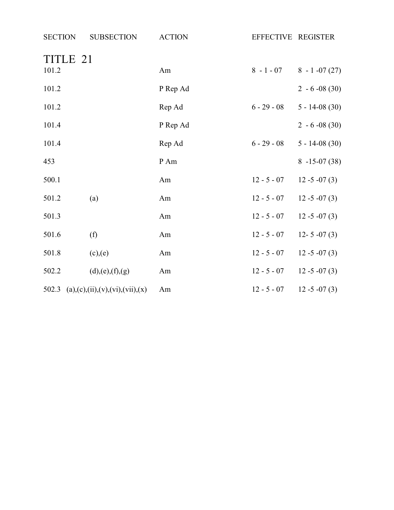| <b>SECTION</b> | <b>SUBSECTION</b>                     | <b>ACTION</b> | EFFECTIVE REGISTER |                                |
|----------------|---------------------------------------|---------------|--------------------|--------------------------------|
| 101.2          | TITLE 21                              | Am            |                    | $8 - 1 - 07$ $8 - 1 - 07$ (27) |
| 101.2          |                                       | P Rep Ad      |                    | $2 - 6 - 08(30)$               |
| 101.2          |                                       | Rep Ad        | $6 - 29 - 08$      | $5 - 14 - 08(30)$              |
| 101.4          |                                       | P Rep Ad      |                    | $2 - 6 - 08(30)$               |
| 101.4          |                                       | Rep Ad        | $6 - 29 - 08$      | $5 - 14 - 08(30)$              |
| 453            |                                       | P Am          |                    | $8 - 15 - 07(38)$              |
| 500.1          |                                       | Am            | $12 - 5 - 07$      | $12 - 5 - 07(3)$               |
| 501.2          | (a)                                   | Am            | $12 - 5 - 07$      | $12 - 5 - 07(3)$               |
| 501.3          |                                       | Am            | $12 - 5 - 07$      | $12 - 5 - 07(3)$               |
| 501.6          | (f)                                   | Am            | $12 - 5 - 07$      | $12 - 5 - 07(3)$               |
| 501.8          | (c),(e)                               | Am            | $12 - 5 - 07$      | $12 - 5 - 07(3)$               |
| 502.2          | (d),(e),(f),(g)                       | Am            | $12 - 5 - 07$      | $12 - 5 - 07(3)$               |
|                | 502.3 (a),(c),(ii),(v),(vi),(vii),(x) | Am            | $12 - 5 - 07$      | $12 - 5 - 07(3)$               |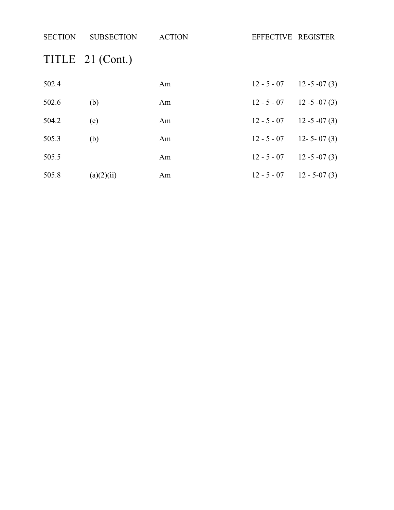| <b>SECTION</b> | <b>SUBSECTION</b> | <b>ACTION</b> | EFFECTIVE REGISTER |                  |
|----------------|-------------------|---------------|--------------------|------------------|
|                | TITLE 21 (Cont.)  |               |                    |                  |
| 502.4          |                   | Am            | $12 - 5 - 07$      | $12 - 5 - 07(3)$ |
| 502.6          | (b)               | Am            | $12 - 5 - 07$      | $12 - 5 - 07(3)$ |
| 504.2          | (e)               | Am            | $12 - 5 - 07$      | $12 - 5 - 07(3)$ |
| 505.3          | (b)               | Am            | $12 - 5 - 07$      | $12 - 5 - 07(3)$ |
| 505.5          |                   | Am            | $12 - 5 - 07$      | $12 - 5 - 07(3)$ |
| 505.8          | (a)(2)(ii)        | Am            | $12 - 5 - 07$      | $12 - 5 - 07(3)$ |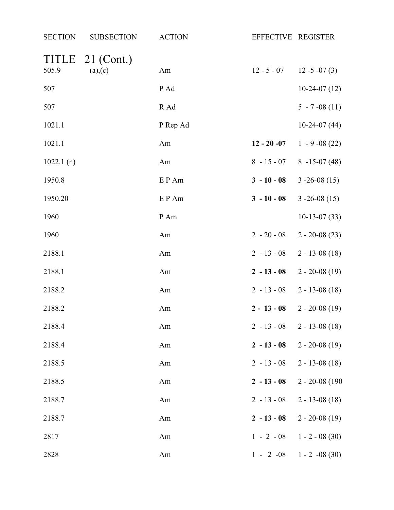| <b>SECTION</b> | <b>SUBSECTION</b>       | <b>ACTION</b> | EFFECTIVE REGISTER |                                  |
|----------------|-------------------------|---------------|--------------------|----------------------------------|
| TITLE<br>505.9 | $21$ (Cont.)<br>(a),(c) | Am            | $12 - 5 - 07$      | $12 - 5 - 07(3)$                 |
| 507            |                         | P Ad          |                    | $10-24-07(12)$                   |
| 507            |                         | R Ad          |                    | $5 - 7 -08(11)$                  |
| 1021.1         |                         | P Rep Ad      |                    | $10-24-07(44)$                   |
| 1021.1         |                         | Am            | $12 - 20 - 07$     | $1 - 9 - 08(22)$                 |
| 1022.1(n)      |                         | Am            | $8 - 15 - 07$      | $8 - 15 - 07(48)$                |
| 1950.8         |                         | EP Am         | $3 - 10 - 08$      | $3 - 26 - 08(15)$                |
| 1950.20        |                         | EP Am         | $3 - 10 - 08$      | $3 - 26 - 08(15)$                |
| 1960           |                         | P Am          |                    | $10-13-07(33)$                   |
| 1960           |                         | Am            | $2 - 20 - 08$      | $2 - 20 - 08(23)$                |
| 2188.1         |                         | Am            | $2 - 13 - 08$      | $2 - 13 - 08(18)$                |
| 2188.1         |                         | Am            | $2 - 13 - 08$      | $2 - 20 - 08(19)$                |
| 2188.2         |                         | Am            | $2 - 13 - 08$      | $2 - 13 - 08(18)$                |
| 2188.2         |                         | Am            | $2 - 13 - 08$      | $2 - 20 - 08(19)$                |
| 2188.4         |                         | Am            |                    | $2 - 13 - 08$ $2 - 13 - 08$ (18) |
| 2188.4         |                         | Am            | $2 - 13 - 08$      | $2 - 20 - 08(19)$                |
| 2188.5         |                         | Am            | $2 - 13 - 08$      | $2 - 13 - 08(18)$                |
| 2188.5         |                         | Am            | $2 - 13 - 08$      | $2 - 20 - 08$ (190)              |
| 2188.7         |                         | Am            | $2 - 13 - 08$      | $2 - 13 - 08(18)$                |
| 2188.7         |                         | Am            | $2 - 13 - 08$      | $2 - 20 - 08(19)$                |
| 2817           |                         | Am            | $1 - 2 - 08$       | $1 - 2 - 08(30)$                 |
| 2828           |                         | Am            |                    | $1 - 2 -08$ $1 - 2 -08$ (30)     |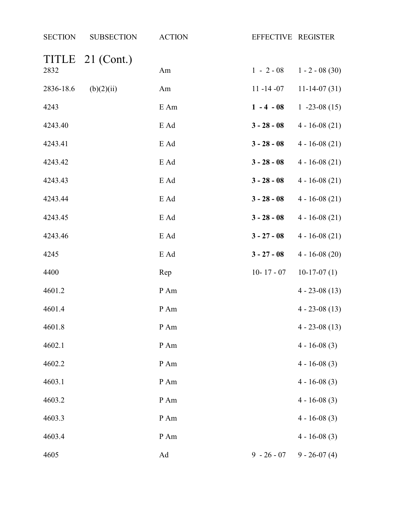| <b>SECTION</b> | <b>SUBSECTION</b> | <b>ACTION</b> | EFFECTIVE REGISTER |                   |
|----------------|-------------------|---------------|--------------------|-------------------|
| 2832           | TITLE 21 (Cont.)  | Am            | $1 - 2 - 08$       | $1 - 2 - 08(30)$  |
| 2836-18.6      | (b)(2)(ii)        | Am            | $11 - 14 - 07$     | $11-14-07(31)$    |
| 4243           |                   | E Am          | $1 - 4 - 08$       | $1 - 23 - 08(15)$ |
| 4243.40        |                   | E Ad          | $3 - 28 - 08$      | $4 - 16 - 08(21)$ |
| 4243.41        |                   | E Ad          | $3 - 28 - 08$      | $4 - 16 - 08(21)$ |
| 4243.42        |                   | E Ad          | $3 - 28 - 08$      | $4 - 16 - 08(21)$ |
| 4243.43        |                   | E Ad          | $3 - 28 - 08$      | $4 - 16 - 08(21)$ |
| 4243.44        |                   | E Ad          | $3 - 28 - 08$      | $4 - 16 - 08(21)$ |
| 4243.45        |                   | E Ad          | $3 - 28 - 08$      | $4 - 16 - 08(21)$ |
| 4243.46        |                   | E Ad          | $3 - 27 - 08$      | $4 - 16 - 08(21)$ |
| 4245           |                   | E Ad          | $3 - 27 - 08$      | $4 - 16 - 08(20)$ |
| 4400           |                   | Rep           | $10 - 17 - 07$     | $10-17-07(1)$     |
| 4601.2         |                   | P Am          |                    | $4 - 23 - 08(13)$ |
| 4601.4         |                   | P Am          |                    | $4 - 23 - 08(13)$ |
| 4601.8         |                   | P Am          |                    | $4 - 23 - 08(13)$ |
| 4602.1         |                   | P Am          |                    | $4 - 16 - 08(3)$  |
| 4602.2         |                   | P Am          |                    | $4 - 16 - 08(3)$  |
| 4603.1         |                   | P Am          |                    | $4 - 16 - 08(3)$  |
| 4603.2         |                   | P Am          |                    | $4 - 16 - 08(3)$  |
| 4603.3         |                   | P Am          |                    | $4 - 16 - 08(3)$  |
| 4603.4         |                   | P Am          |                    | $4 - 16 - 08(3)$  |
| 4605           |                   | Ad            | $9 - 26 - 07$      | $9 - 26 - 07(4)$  |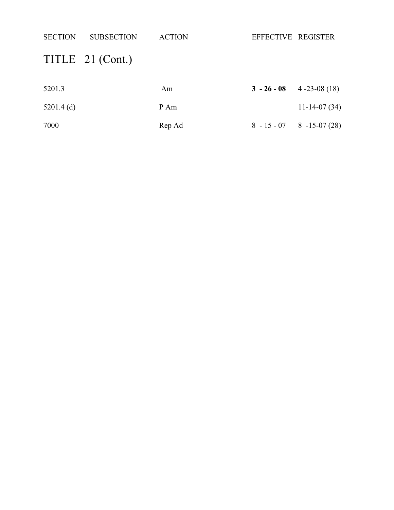| <b>SECTION</b> | <b>SUBSECTION</b> | <b>ACTION</b> | EFFECTIVE REGISTER |                                  |
|----------------|-------------------|---------------|--------------------|----------------------------------|
|                | TITLE 21 (Cont.)  |               |                    |                                  |
| 5201.3         |                   | Am            | $3 - 26 - 08$      | $4 - 23 - 08(18)$                |
| $5201.4$ (d)   |                   | P Am          |                    | $11-14-07(34)$                   |
| 7000           |                   | Rep Ad        |                    | $8 - 15 - 07$ $8 - 15 - 07$ (28) |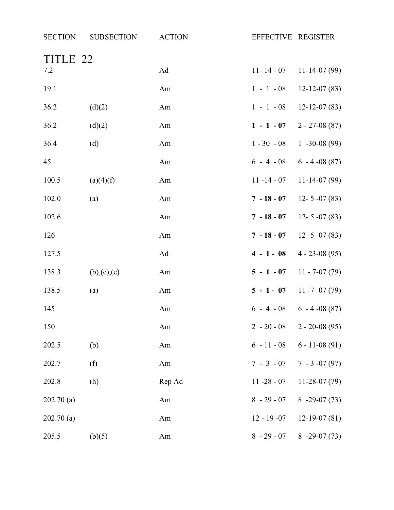| <b>SECTION</b>  | <b>SUBSECTION</b> | <b>ACTION</b> | EFFECTIVE REGISTER |                                |
|-----------------|-------------------|---------------|--------------------|--------------------------------|
| TITLE 22<br>7.2 |                   | Ad            | $11 - 14 - 07$     | $11-14-07(99)$                 |
| 19.1            |                   | Am            | $1 - 1 - 08$       | $12 - 12 - 07(83)$             |
| 36.2            | (d)(2)            | Am            | $1 - 1 - 08$       | $12 - 12 - 07(83)$             |
| 36.2            | (d)(2)            | Am            | $1 - 1 - 07$       | $2 - 27 - 08(87)$              |
| 36.4            | (d)               | Am            | $1 - 30 - 08$      | $1 -30 -08(99)$                |
| 45              |                   | Am            | $6 - 4 - 08$       | $6 - 4 - 08(87)$               |
| 100.5           | (a)(4)(f)         | Am            | $11 - 14 - 07$     | $11-14-07(99)$                 |
| 102.0           | (a)               | Am            | $7 - 18 - 07$      | $12 - 5 - 07(83)$              |
| 102.6           |                   | Am            | $7 - 18 - 07$      | $12 - 5 - 07(83)$              |
| 126             |                   | Am            | $7 - 18 - 07$      | $12 - 5 - 07(83)$              |
| 127.5           |                   | Ad            | $4 - 1 - 08$       | $4 - 23 - 08(95)$              |
| 138.3           | (b),(c),(e)       | Am            | $5 - 1 - 07$       | $11 - 7 - 07(79)$              |
| 138.5           | (a)               | Am            | $5 - 1 - 07$       | $11 - 7 - 07(79)$              |
| 145             |                   | Am            |                    | $6 - 4 - 08$ $6 - 4 - 08$ (87) |
| 150             |                   | Am            | $2 - 20 - 08$      | $2 - 20 - 08(95)$              |
| 202.5           | (b)               | Am            | $6 - 11 - 08$      | $6 - 11 - 08(91)$              |
| 202.7           | (f)               | Am            | $7 - 3 - 07$       | $7 - 3 -07(97)$                |
| 202.8           | (h)               | Rep Ad        | $11 - 28 - 07$     | $11-28-07(79)$                 |
| 202.70(a)       |                   | Am            | $8 - 29 - 07$      | $8 - 29 - 07(73)$              |
| 202.70(a)       |                   | Am            | $12 - 19 - 07$     | $12-19-07(81)$                 |
| 205.5           | (b)(5)            | Am            | $8 - 29 - 07$      | $8 - 29 - 07(73)$              |